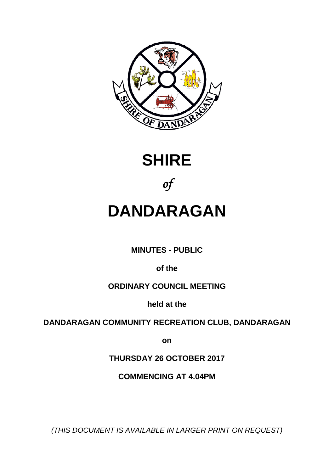





# **DANDARAGAN**

**MINUTES - PUBLIC**

**of the**

# **ORDINARY COUNCIL MEETING**

**held at the**

# **DANDARAGAN COMMUNITY RECREATION CLUB, DANDARAGAN**

**on**

**THURSDAY 26 OCTOBER 2017**

**COMMENCING AT 4.04PM**

*(THIS DOCUMENT IS AVAILABLE IN LARGER PRINT ON REQUEST)*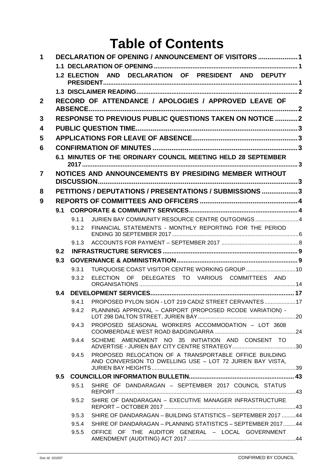# **Table of Contents**

| 1              |     |                     | DECLARATION OF OPENING / ANNOUNCEMENT OF VISITORS  1                                                                |  |
|----------------|-----|---------------------|---------------------------------------------------------------------------------------------------------------------|--|
|                |     |                     |                                                                                                                     |  |
|                |     | <b>1.2 ELECTION</b> | AND DECLARATION OF PRESIDENT AND DEPUTY                                                                             |  |
|                |     |                     |                                                                                                                     |  |
| $\mathbf{2}$   |     |                     | RECORD OF ATTENDANCE / APOLOGIES / APPROVED LEAVE OF                                                                |  |
|                |     |                     | <b>RESPONSE TO PREVIOUS PUBLIC QUESTIONS TAKEN ON NOTICE 2</b>                                                      |  |
| 3              |     |                     |                                                                                                                     |  |
| 4              |     |                     |                                                                                                                     |  |
| 5              |     |                     |                                                                                                                     |  |
| 6              |     |                     |                                                                                                                     |  |
|                |     |                     | 6.1 MINUTES OF THE ORDINARY COUNCIL MEETING HELD 28 SEPTEMBER                                                       |  |
| $\overline{7}$ |     |                     | NOTICES AND ANNOUNCEMENTS BY PRESIDING MEMBER WITHOUT                                                               |  |
|                |     |                     |                                                                                                                     |  |
| 8              |     |                     | PETITIONS / DEPUTATIONS / PRESENTATIONS / SUBMISSIONS 3                                                             |  |
| 9              |     |                     |                                                                                                                     |  |
|                | 9.1 |                     |                                                                                                                     |  |
|                |     | 9.1.1               | JURIEN BAY COMMUNITY RESOURCE CENTRE OUTGOINGS4                                                                     |  |
|                |     | 9.1.2               | FINANCIAL STATEMENTS - MONTHLY REPORTING FOR THE PERIOD                                                             |  |
|                |     | 9.1.3               |                                                                                                                     |  |
|                | 9.2 |                     |                                                                                                                     |  |
|                | 9.3 |                     |                                                                                                                     |  |
|                |     | 9.3.1               | TURQUOISE COAST VISITOR CENTRE WORKING GROUP 10                                                                     |  |
|                |     | 9.3.2               | DELEGATES TO VARIOUS COMMITTEES AND<br><b>ELECTION</b><br>OF.                                                       |  |
|                | 9.4 |                     |                                                                                                                     |  |
|                |     |                     | 9.4.1 PROPOSED PYLON SIGN - LOT 219 CADIZ STREET CERVANTES17                                                        |  |
|                |     | 9.4.2               | PLANNING APPROVAL - CARPORT (PROPOSED RCODE VARIATION) -                                                            |  |
|                |     | 9.4.3               | PROPOSED SEASONAL WORKERS ACCOMMODATION - LOT 3608                                                                  |  |
|                |     | 9.4.4               | SCHEME AMENDMENT NO 35 INITIATION AND CONSENT TO                                                                    |  |
|                |     | 9.4.5               | PROPOSED RELOCATION OF A TRANSPORTABLE OFFICE BUILDING<br>AND CONVERSION TO DWELLING USE - LOT 72 JURIEN BAY VISTA, |  |
|                | 9.5 |                     |                                                                                                                     |  |
|                |     | 9.5.1               | SHIRE OF DANDARAGAN - SEPTEMBER 2017 COUNCIL STATUS                                                                 |  |
|                |     | 9.5.2               | SHIRE OF DANDARAGAN - EXECUTIVE MANAGER INFRASTRUCTURE                                                              |  |
|                |     | 9.5.3               | SHIRE OF DANDARAGAN - BUILDING STATISTICS - SEPTEMBER 2017 44                                                       |  |
|                |     | 9.5.4               | SHIRE OF DANDARAGAN - PLANNING STATISTICS - SEPTEMBER 201744                                                        |  |
|                |     | 9.5.5               | OFFICE OF THE AUDITOR GENERAL - LOCAL GOVERNMENT                                                                    |  |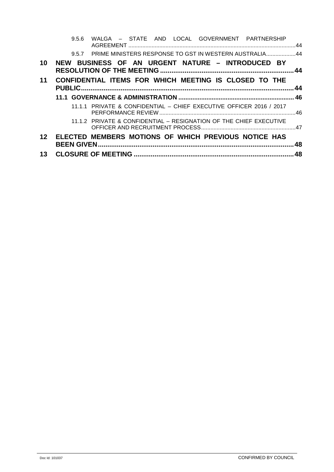|    | WALGA - STATE AND LOCAL GOVERNMENT PARTNERSHIP<br>9.5.6             |     |
|----|---------------------------------------------------------------------|-----|
|    | 9.5.7 PRIME MINISTERS RESPONSE TO GST IN WESTERN AUSTRALIA44        |     |
| 10 | NEW BUSINESS OF AN URGENT NATURE - INTRODUCED BY                    |     |
| 11 | CONFIDENTIAL ITEMS FOR WHICH MEETING IS CLOSED TO THE               | 44  |
|    |                                                                     |     |
|    | 11.1.1 PRIVATE & CONFIDENTIAL - CHIEF EXECUTIVE OFFICER 2016 / 2017 |     |
|    | 11.1.2 PRIVATE & CONFIDENTIAL - RESIGNATION OF THE CHIEF EXECUTIVE  |     |
| 12 | ELECTED MEMBERS MOTIONS OF WHICH PREVIOUS NOTICE HAS                | 48  |
| 13 |                                                                     | .48 |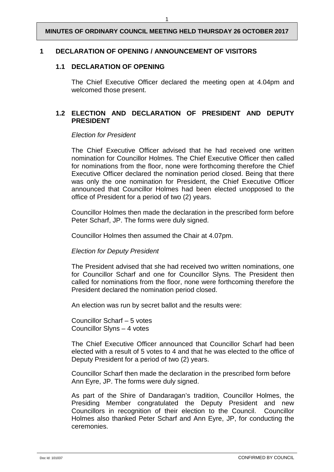#### <span id="page-3-1"></span><span id="page-3-0"></span>**1 DECLARATION OF OPENING / ANNOUNCEMENT OF VISITORS**

#### **1.1 DECLARATION OF OPENING**

The Chief Executive Officer declared the meeting open at 4.04pm and welcomed those present.

#### <span id="page-3-2"></span>**1.2 ELECTION AND DECLARATION OF PRESIDENT AND DEPUTY PRESIDENT**

#### *Election for President*

The Chief Executive Officer advised that he had received one written nomination for Councillor Holmes. The Chief Executive Officer then called for nominations from the floor, none were forthcoming therefore the Chief Executive Officer declared the nomination period closed. Being that there was only the one nomination for President, the Chief Executive Officer announced that Councillor Holmes had been elected unopposed to the office of President for a period of two (2) years.

Councillor Holmes then made the declaration in the prescribed form before Peter Scharf, JP. The forms were duly signed.

Councillor Holmes then assumed the Chair at 4.07pm.

#### *Election for Deputy President*

The President advised that she had received two written nominations, one for Councillor Scharf and one for Councillor Slyns. The President then called for nominations from the floor, none were forthcoming therefore the President declared the nomination period closed.

An election was run by secret ballot and the results were:

Councillor Scharf – 5 votes Councillor Slyns – 4 votes

The Chief Executive Officer announced that Councillor Scharf had been elected with a result of 5 votes to 4 and that he was elected to the office of Deputy President for a period of two (2) years.

Councillor Scharf then made the declaration in the prescribed form before Ann Eyre, JP. The forms were duly signed.

As part of the Shire of Dandaragan's tradition, Councillor Holmes, the Presiding Member congratulated the Deputy President and new Councillors in recognition of their election to the Council. Councillor Holmes also thanked Peter Scharf and Ann Eyre, JP, for conducting the ceremonies.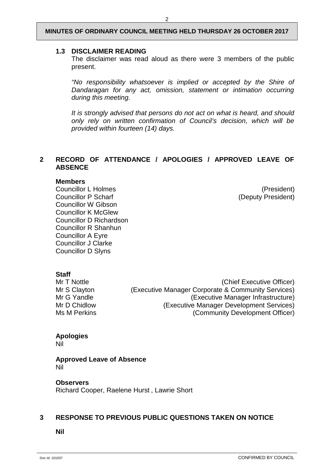#### <span id="page-4-0"></span>**1.3 DISCLAIMER READING**

The disclaimer was read aloud as there were 3 members of the public present.

*"No responsibility whatsoever is implied or accepted by the Shire of Dandaragan for any act, omission, statement or intimation occurring during this meeting.*

*It is strongly advised that persons do not act on what is heard, and should only rely on written confirmation of Council's decision, which will be provided within fourteen (14) days.*

#### <span id="page-4-1"></span>**2 RECORD OF ATTENDANCE / APOLOGIES / APPROVED LEAVE OF ABSENCE**

#### **Members**

Councillor L Holmes<br>
Councillor P Scharf<br>
Councillor P Scharf<br>
Councillor P Scharf Councillor W Gibson Councillor K McGlew Councillor D Richardson Councillor R Shanhun Councillor A Eyre Councillor J Clarke Councillor D Slyns

(Deputy President)

**Staff**<br>Mr T Nottle

(Chief Executive Officer) Mr S Clayton (Executive Manager Corporate & Community Services)<br>Mr G Yandle (Executive Manager Infrastructure) Mr G Yandle (Executive Manager Infrastructure)<br>Mr D Chidlow (Executive Manager Development Services) Mr D Chidlow (Executive Manager Development Services)<br>Ms M Perkins (Community Development Officer) (Community Development Officer)

# **Apologies**

Nil

**Approved Leave of Absence** Nil

**Observers** Richard Cooper, Raelene Hurst , Lawrie Short

#### <span id="page-4-2"></span>**3 RESPONSE TO PREVIOUS PUBLIC QUESTIONS TAKEN ON NOTICE**

**Nil**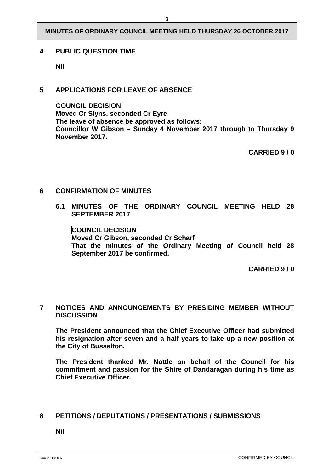#### <span id="page-5-0"></span>**4 PUBLIC QUESTION TIME**

**Nil**

# <span id="page-5-1"></span>**5 APPLICATIONS FOR LEAVE OF ABSENCE**

#### **COUNCIL DECISION**

**Moved Cr Slyns, seconded Cr Eyre The leave of absence be approved as follows: Councillor W Gibson – Sunday 4 November 2017 through to Thursday 9 November 2017.**

**CARRIED 9 / 0**

#### <span id="page-5-3"></span><span id="page-5-2"></span>**6 CONFIRMATION OF MINUTES**

**6.1 MINUTES OF THE ORDINARY COUNCIL MEETING HELD 28 SEPTEMBER 2017**

**COUNCIL DECISION Moved Cr Gibson, seconded Cr Scharf That the minutes of the Ordinary Meeting of Council held 28 September 2017 be confirmed.** 

**CARRIED 9 / 0**

#### <span id="page-5-4"></span>**7 NOTICES AND ANNOUNCEMENTS BY PRESIDING MEMBER WITHOUT DISCUSSION**

**The President announced that the Chief Executive Officer had submitted his resignation after seven and a half years to take up a new position at the City of Busselton.**

**The President thanked Mr. Nottle on behalf of the Council for his commitment and passion for the Shire of Dandaragan during his time as Chief Executive Officer.**

#### <span id="page-5-5"></span>**8 PETITIONS / DEPUTATIONS / PRESENTATIONS / SUBMISSIONS**

**Nil**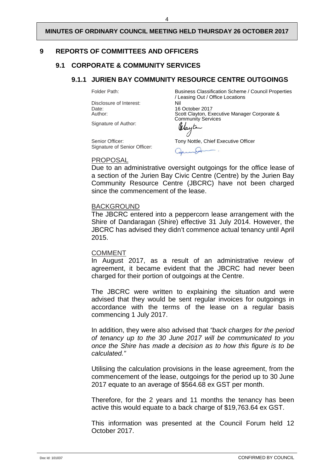4

# <span id="page-6-1"></span><span id="page-6-0"></span>**9 REPORTS OF COMMITTEES AND OFFICERS**

# <span id="page-6-2"></span>**9.1 CORPORATE & COMMUNITY SERVICES**

# **9.1.1 JURIEN BAY COMMUNITY RESOURCE CENTRE OUTGOINGS**

Disclosure of Interest:<br>Date: Date: 16 October 2017<br>Author: 16 October 2017<br>Scott Clayton Ex

Folder Path: Business Classification Scheme / Council Properties / Leasing Out / Office Locations Scott Clayton, Executive Manager Corporate & Community Services

Signature of Author:

Signature of Senior Officer:

Senior Officer: Tony Nottle, Chief Executive Officer

גו חל

#### PROPOSAL

Due to an administrative oversight outgoings for the office lease of a section of the Jurien Bay Civic Centre (Centre) by the Jurien Bay Community Resource Centre (JBCRC) have not been charged since the commencement of the lease.

# BACKGROUND

The JBCRC entered into a peppercorn lease arrangement with the Shire of Dandaragan (Shire) effective 31 July 2014. However, the JBCRC has advised they didn't commence actual tenancy until April 2015.

#### COMMENT

In August 2017, as a result of an administrative review of agreement, it became evident that the JBCRC had never been charged for their portion of outgoings at the Centre.

The JBCRC were written to explaining the situation and were advised that they would be sent regular invoices for outgoings in accordance with the terms of the lease on a regular basis commencing 1 July 2017.

In addition, they were also advised that *"back charges for the period of tenancy up to the 30 June 2017 will be communicated to you once the Shire has made a decision as to how this figure is to be calculated."*

Utilising the calculation provisions in the lease agreement, from the commencement of the lease, outgoings for the period up to 30 June 2017 equate to an average of \$564.68 ex GST per month.

Therefore, for the 2 years and 11 months the tenancy has been active this would equate to a back charge of \$19,763.64 ex GST.

This information was presented at the Council Forum held 12 October 2017.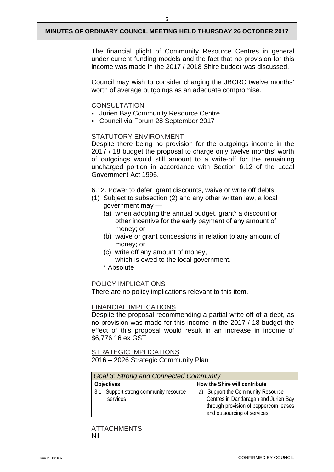The financial plight of Community Resource Centres in general under current funding models and the fact that no provision for this income was made in the 2017 / 2018 Shire budget was discussed.

Council may wish to consider charging the JBCRC twelve months' worth of average outgoings as an adequate compromise.

#### **CONSULTATION**

- **Jurien Bay Community Resource Centre**
- Council via Forum 28 September 2017

#### STATUTORY ENVIRONMENT

Despite there being no provision for the outgoings income in the 2017 / 18 budget the proposal to charge only twelve months' worth of outgoings would still amount to a write-off for the remaining uncharged portion in accordance with Section 6.12 of the Local Government Act 1995.

6.12. Power to defer, grant discounts, waive or write off debts

- (1) Subject to subsection (2) and any other written law, a local government may —
	- (a) when adopting the annual budget, grant\* a discount or other incentive for the early payment of any amount of money; or
	- (b) waive or grant concessions in relation to any amount of money; or
	- (c) write off any amount of money, which is owed to the local government.
	- \* Absolute

#### POLICY IMPLICATIONS

There are no policy implications relevant to this item.

#### FINANCIAL IMPLICATIONS

Despite the proposal recommending a partial write off of a debt, as no provision was made for this income in the 2017 / 18 budget the effect of this proposal would result in an increase in income of \$6,776.16 ex GST.

#### STRATEGIC IMPLICATIONS 2016 – 2026 Strategic Community Plan

| <b>Goal 3: Strong and Connected Community</b>     |                                                                                                                                                       |  |
|---------------------------------------------------|-------------------------------------------------------------------------------------------------------------------------------------------------------|--|
| <b>Objectives</b>                                 | How the Shire will contribute                                                                                                                         |  |
| 3.1 Support strong community resource<br>services | Support the Community Resource<br>a)<br>Centres in Dandaragan and Jurien Bay<br>through provision of peppercorn leases<br>and outsourcing of services |  |

#### **TTACHMENTS** Nil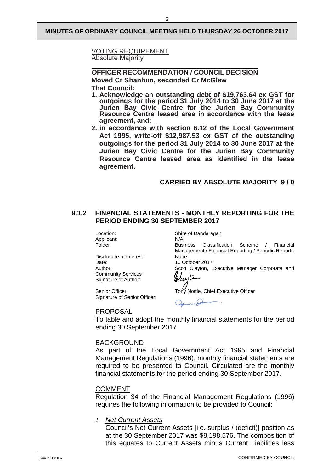#### VOTING REQUIREMENT Absolute Majority

**OFFICER RECOMMENDATION / COUNCIL DECISION**

**Moved Cr Shanhun, seconded Cr McGlew That Council:**

- **1. Acknowledge an outstanding debt of \$19,763.64 ex GST for outgoings for the period 31 July 2014 to 30 June 2017 at the Jurien Bay Civic Centre for the Jurien Bay Community Resource Centre leased area in accordance with the lease agreement, and;**
- **2. in accordance with section 6.12 of the Local Government Act 1995, write-off \$12,987.53 ex GST of the outstanding outgoings for the period 31 July 2014 to 30 June 2017 at the Jurien Bay Civic Centre for the Jurien Bay Community Resource Centre leased area as identified in the lease agreement.**

#### **CARRIED BY ABSOLUTE MAJORITY 9 / 0**

#### <span id="page-8-0"></span>**9.1.2 FINANCIAL STATEMENTS - MONTHLY REPORTING FOR THE PERIOD ENDING 30 SEPTEMBER 2017**

Applicant:<br>Folder

Disclosure of Interest:<br>Date: Date: 16 October 2017<br>Author: 16 October 2017<br>Scott Clayton Community Services Signature of Author:

Signature of Senior Officer:

Location: Shire of Dandaragan<br>Applicant: N/A

Business Classification Scheme / Financial Management / Financial Reporting / Periodic Reports

Scott Clayton, Executive Manager Corporate and

Wayte

Senior Officer: Tony Nottle, Chief Executive Officer

#### PROPOSAL

To table and adopt the monthly financial statements for the period ending 30 September 2017

#### BACKGROUND

As part of the Local Government Act 1995 and Financial Management Regulations (1996), monthly financial statements are required to be presented to Council. Circulated are the monthly financial statements for the period ending 30 September 2017.

#### **COMMENT**

Regulation 34 of the Financial Management Regulations (1996) requires the following information to be provided to Council:

*1. Net Current Assets*

Council's Net Current Assets [i.e. surplus / (deficit)] position as at the 30 September 2017 was \$8,198,576. The composition of this equates to Current Assets minus Current Liabilities less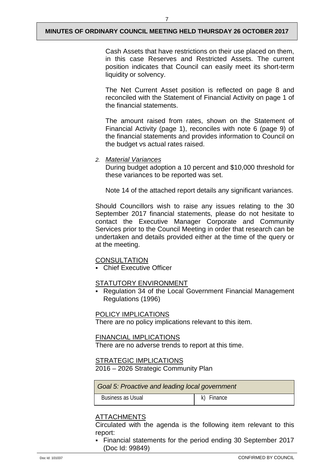Cash Assets that have restrictions on their use placed on them, in this case Reserves and Restricted Assets. The current position indicates that Council can easily meet its short-term liquidity or solvency.

The Net Current Asset position is reflected on page 8 and reconciled with the Statement of Financial Activity on page 1 of the financial statements.

The amount raised from rates, shown on the Statement of Financial Activity (page 1), reconciles with note 6 (page 9) of the financial statements and provides information to Council on the budget vs actual rates raised.

#### *2. Material Variances*

During budget adoption a 10 percent and \$10,000 threshold for these variances to be reported was set.

Note 14 of the attached report details any significant variances.

Should Councillors wish to raise any issues relating to the 30 September 2017 financial statements, please do not hesitate to contact the Executive Manager Corporate and Community Services prior to the Council Meeting in order that research can be undertaken and details provided either at the time of the query or at the meeting.

#### **CONSULTATION**

Chief Executive Officer

#### STATUTORY ENVIRONMENT

 Regulation 34 of the Local Government Financial Management Regulations (1996)

#### POLICY IMPLICATIONS

There are no policy implications relevant to this item.

#### FINANCIAL IMPLICATIONS

There are no adverse trends to report at this time.

#### STRATEGIC IMPLICATIONS

2016 – 2026 Strategic Community Plan

| Goal 5: Proactive and leading local government |  |  |
|------------------------------------------------|--|--|
| Business as Usual<br>Finance<br>k)             |  |  |

#### ATTACHMENTS

Circulated with the agenda is the following item relevant to this report:

 Financial statements for the period ending 30 September 2017 (Doc Id: 99849)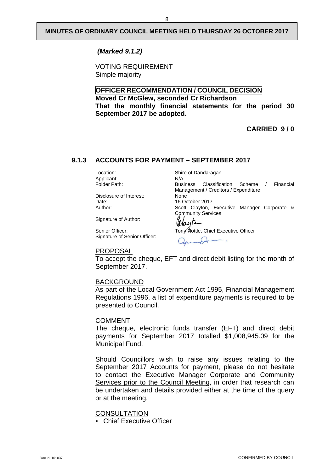*(Marked 9.1.2)*

VOTING REQUIREMENT Simple majority

#### **OFFICER RECOMMENDATION / COUNCIL DECISION Moved Cr McGlew, seconded Cr Richardson That the monthly financial statements for the period 30 September 2017 be adopted.**

**CARRIED 9 / 0**

# <span id="page-10-0"></span>**9.1.3 ACCOUNTS FOR PAYMENT – SEPTEMBER 2017**

Location: Shire of Dandaragan Applicant: N/A<br>
Folder Path: Business

Disclosure of Interest:<br>Date: Date: 16 October 2017<br>
Author: 16 October 2017<br>
Scott Clavton.

Signature of Author:

Senior Officer: Tony Nottle, Chief Executive Officer Signature of Senior Officer:

Management / Creditors / Expenditure<br>None Scott Clayton, Executive Manager Corporate & Community Services Wayte

Classification Scheme / Financial

PROPOSAL

To accept the cheque, EFT and direct debit listing for the month of September 2017.

#### BACKGROUND

As part of the Local Government Act 1995, Financial Management Regulations 1996, a list of expenditure payments is required to be presented to Council.

#### COMMENT

The cheque, electronic funds transfer (EFT) and direct debit payments for September 2017 totalled \$1,008,945.09 for the Municipal Fund.

Should Councillors wish to raise any issues relating to the September 2017 Accounts for payment, please do not hesitate to contact the Executive Manager Corporate and Community Services prior to the Council Meeting, in order that research can be undertaken and details provided either at the time of the query or at the meeting.

**CONSULTATION** 

Chief Executive Officer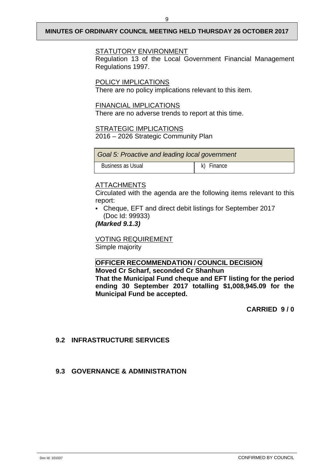#### STATUTORY ENVIRONMENT

Regulation 13 of the Local Government Financial Management Regulations 1997.

POLICY IMPLICATIONS

There are no policy implications relevant to this item.

#### FINANCIAL IMPLICATIONS

There are no adverse trends to report at this time.

#### **STRATEGIC IMPLICATIONS**

2016 – 2026 Strategic Community Plan

| Goal 5: Proactive and leading local government |                   |  |
|------------------------------------------------|-------------------|--|
| Business as Usual                              | $\mid$ k) Finance |  |

### ATTACHMENTS

Circulated with the agenda are the following items relevant to this report:

 Cheque, EFT and direct debit listings for September 2017 (Doc Id: 99933)

### *(Marked 9.1.3)*

VOTING REQUIREMENT Simple majority

**Municipal Fund be accepted.**

#### **OFFICER RECOMMENDATION / COUNCIL DECISION**

**Moved Cr Scharf, seconded Cr Shanhun That the Municipal Fund cheque and EFT listing for the period ending 30 September 2017 totalling \$1,008,945.09 for the** 

**CARRIED 9 / 0**

# <span id="page-11-0"></span>**9.2 INFRASTRUCTURE SERVICES**

#### <span id="page-11-1"></span>**9.3 GOVERNANCE & ADMINISTRATION**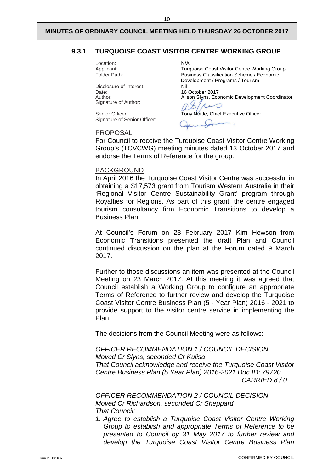#### <span id="page-12-0"></span>**9.3.1 TURQUOISE COAST VISITOR CENTRE WORKING GROUP**

Location: N/A<br>Applicant: Ture

Disclosure of Interest: Nil Date: 16 October 2017 Author:<br>Signature of Author:

Signature of Senior Officer:

Applicant: Turquoise Coast Visitor Centre Working Group<br>
Folder Path: Susiness Classification Scheme / Economic Business Classification Scheme / Economic Development / Programs / Tourism Alison Slyns, Economic Development Coordinator

Senior Officer: Tony Nottle, Chief Executive Officer

#### PROPOSAL

For Council to receive the Turquoise Coast Visitor Centre Working Group's (TCVCWG) meeting minutes dated 13 October 2017 and endorse the Terms of Reference for the group.

#### BACKGROUND

In April 2016 the Turquoise Coast Visitor Centre was successful in obtaining a \$17,573 grant from Tourism Western Australia in their 'Regional Visitor Centre Sustainability Grant' program through Royalties for Regions. As part of this grant, the centre engaged tourism consultancy firm Economic Transitions to develop a Business Plan.

At Council's Forum on 23 February 2017 Kim Hewson from Economic Transitions presented the draft Plan and Council continued discussion on the plan at the Forum dated 9 March 2017.

Further to those discussions an item was presented at the Council Meeting on 23 March 2017. At this meeting it was agreed that Council establish a Working Group to configure an appropriate Terms of Reference to further review and develop the Turquoise Coast Visitor Centre Business Plan (5 - Year Plan) 2016 - 2021 to provide support to the visitor centre service in implementing the Plan.

The decisions from the Council Meeting were as follows:

*OFFICER RECOMMENDATION 1 / COUNCIL DECISION Moved Cr Slyns, seconded Cr Kulisa That Council acknowledge and receive the Turquoise Coast Visitor Centre Business Plan (5 Year Plan) 2016-2021 Doc ID: 79720. CARRIED 8 / 0*

*OFFICER RECOMMENDATION 2 / COUNCIL DECISION Moved Cr Richardson, seconded Cr Sheppard That Council:*

*1. Agree to establish a Turquoise Coast Visitor Centre Working Group to establish and appropriate Terms of Reference to be presented to Council by 31 May 2017 to further review and develop the Turquoise Coast Visitor Centre Business Plan*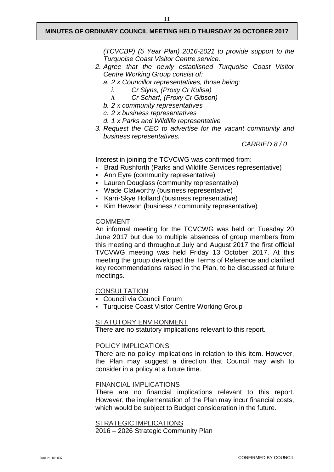*(TCVCBP) (5 Year Plan) 2016-2021 to provide support to the Turquoise Coast Visitor Centre service.* 

- *2. Agree that the newly established Turquoise Coast Visitor Centre Working Group consist of:* 
	- *a. 2 x Councillor representatives, those being:* 
		- *i. Cr Slyns, (Proxy Cr Kulisa)*
		- *ii. Cr Scharf, (Proxy Cr Gibson)*
	- *b. 2 x community representatives*
	- *c. 2 x business representatives*
	- *d. 1 x Parks and Wildlife representative*
- *3. Request the CEO to advertise for the vacant community and business representatives.*

*CARRIED 8 / 0*

Interest in joining the TCVCWG was confirmed from:

- Brad Rushforth (Parks and Wildlife Services representative)
- Ann Eyre (community representative)
- Lauren Douglass (community representative)
- Wade Clatworthy (business representative)
- Karri-Skye Holland (business representative)
- Kim Hewson (business / community representative)

#### COMMENT

An informal meeting for the TCVCWG was held on Tuesday 20 June 2017 but due to multiple absences of group members from this meeting and throughout July and August 2017 the first official TVCVWG meeting was held Friday 13 October 2017. At this meeting the group developed the Terms of Reference and clarified key recommendations raised in the Plan, to be discussed at future meetings.

**CONSULTATION** 

- Council via Council Forum
- Turquoise Coast Visitor Centre Working Group

#### STATUTORY ENVIRONMENT

There are no statutory implications relevant to this report.

#### POLICY IMPLICATIONS

There are no policy implications in relation to this item. However, the Plan may suggest a direction that Council may wish to consider in a policy at a future time.

#### FINANCIAL IMPLICATIONS

There are no financial implications relevant to this report. However, the implementation of the Plan may incur financial costs, which would be subject to Budget consideration in the future.

STRATEGIC IMPLICATIONS

2016 – 2026 Strategic Community Plan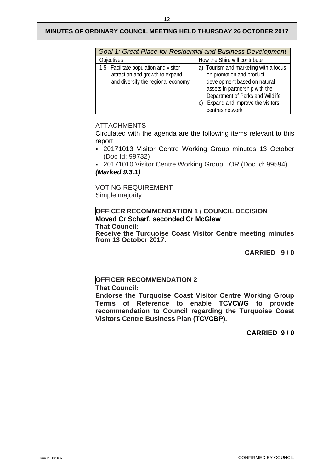| Goal 1: Great Place for Residential and Business Development                                                   |                                                                                                                                                                                                                                |  |
|----------------------------------------------------------------------------------------------------------------|--------------------------------------------------------------------------------------------------------------------------------------------------------------------------------------------------------------------------------|--|
| <b>Objectives</b>                                                                                              | How the Shire will contribute                                                                                                                                                                                                  |  |
| 1.5 Facilitate population and visitor<br>attraction and growth to expand<br>and diversify the regional economy | a) Tourism and marketing with a focus<br>on promotion and product<br>development based on natural<br>assets in partnership with the<br>Department of Parks and Wildlife<br>Expand and improve the visitors'<br>centres network |  |

# ATTACHMENTS

Circulated with the agenda are the following items relevant to this report:

- 20171013 Visitor Centre Working Group minutes 13 October (Doc Id: 99732)
- 20171010 Visitor Centre Working Group TOR (Doc Id: 99594) *(Marked 9.3.1)*

VOTING REQUIREMENT Simple majority

# **OFFICER RECOMMENDATION 1 / COUNCIL DECISION Moved Cr Scharf, seconded Cr McGlew**

**That Council:**

**Receive the Turquoise Coast Visitor Centre meeting minutes from 13 October 2017.**

**CARRIED 9 / 0**

# **OFFICER RECOMMENDATION 2**

**That Council:**

**Endorse the Turquoise Coast Visitor Centre Working Group Terms of Reference to enable TCVCWG to provide recommendation to Council regarding the Turquoise Coast Visitors Centre Business Plan (TCVCBP).** 

**CARRIED 9 / 0**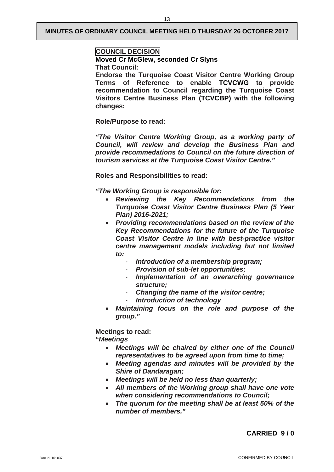#### **COUNCIL DECISION**

**Moved Cr McGlew, seconded Cr Slyns That Council:**

**Endorse the Turquoise Coast Visitor Centre Working Group Terms of Reference to enable TCVCWG to provide recommendation to Council regarding the Turquoise Coast Visitors Centre Business Plan (TCVCBP) with the following changes:**

**Role/Purpose to read:**

*"The Visitor Centre Working Group, as a working party of Council, will review and develop the Business Plan and provide recommedations to Council on the future direction of tourism services at the Turquoise Coast Visitor Centre."*

**Roles and Responsibilities to read:**

*"The Working Group is responsible for:* 

- *Reviewing the Key Recommendations from the Turquoise Coast Visitor Centre Business Plan (5 Year Plan) 2016-2021;*
- *Providing recommendations based on the review of the Key Recommendations for the future of the Turquoise Coast Visitor Centre in line with best-practice visitor centre management models including but not limited to:*
	- *Introduction of a membership program;*
	- *Provision of sub-let opportunities;*
	- *Implementation of an overarching governance structure;*
	- *Changing the name of the visitor centre;*
	- *Introduction of technology*
- *Maintaining focus on the role and purpose of the group."*

# **Meetings to read:**

## *"Meetings*

- *Meetings will be chaired by either one of the Council representatives to be agreed upon from time to time;*
- *Meeting agendas and minutes will be provided by the Shire of Dandaragan;*
- *Meetings will be held no less than quarterly;*
- *All members of the Working group shall have one vote when considering recommendations to Council;*
- *The quorum for the meeting shall be at least 50% of the number of members."*

# **CARRIED 9 / 0**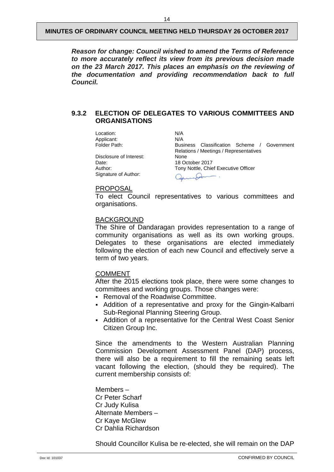*Reason for change: Council wished to amend the Terms of Reference to more accurately reflect its view from its previous decision made on the 23 March 2017. This places an emphasis on the reviewing of the documentation and providing recommendation back to full Council.*

#### <span id="page-16-0"></span>**9.3.2 ELECTION OF DELEGATES TO VARIOUS COMMITTEES AND ORGANISATIONS**

Location: N/A<br>Applicant: N/A Applicant:<br>Folder Path:

Disclosure of Interest:<br>Date: Date: 18 October 2017<br>
Author: 18 October 2017<br>
Tony Nottle, Chie Signature of Author:

Business Classification Scheme / Government Relations / Meetings / Representatives Tony Nottle, Chief Executive Officer  $\overline{\mathcal{A}}$ 

#### PROPOSAL

To elect Council representatives to various committees and organisations.

#### BACKGROUND

The Shire of Dandaragan provides representation to a range of community organisations as well as its own working groups. Delegates to these organisations are elected immediately following the election of each new Council and effectively serve a term of two years.

#### COMMENT

After the 2015 elections took place, there were some changes to committees and working groups. Those changes were:

- Removal of the Roadwise Committee.
- Addition of a representative and proxy for the Gingin-Kalbarri Sub-Regional Planning Steering Group.
- Addition of a representative for the Central West Coast Senior Citizen Group Inc.

Since the amendments to the Western Australian Planning Commission Development Assessment Panel (DAP) process, there will also be a requirement to fill the remaining seats left vacant following the election, (should they be required). The current membership consists of:

Members – Cr Peter Scharf Cr Judy Kulisa Alternate Members – Cr Kaye McGlew Cr Dahlia Richardson

Should Councillor Kulisa be re-elected, she will remain on the DAP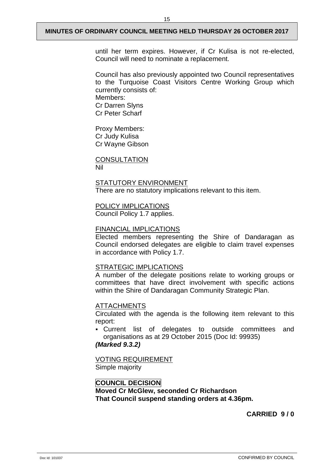Council has also previously appointed two Council representatives to the Turquoise Coast Visitors Centre Working Group which currently consists of: Members: Cr Darren Slyns Cr Peter Scharf

Proxy Members: Cr Judy Kulisa Cr Wayne Gibson

**CONSULTATION** Nil

# STATUTORY ENVIRONMENT There are no statutory implications relevant to this item.

# POLICY IMPLICATIONS

Council Policy 1.7 applies.

#### FINANCIAL IMPLICATIONS

Elected members representing the Shire of Dandaragan as Council endorsed delegates are eligible to claim travel expenses in accordance with Policy 1.7.

#### STRATEGIC IMPLICATIONS

A number of the delegate positions relate to working groups or committees that have direct involvement with specific actions within the Shire of Dandaragan Community Strategic Plan.

#### ATTACHMENTS

Circulated with the agenda is the following item relevant to this report:

 Current list of delegates to outside committees and organisations as at 29 October 2015 (Doc Id: 99935)

#### *(Marked 9.3.2)*

VOTING REQUIREMENT Simple majority

#### **COUNCIL DECISION Moved Cr McGlew, seconded Cr Richardson That Council suspend standing orders at 4.36pm.**

# **CARRIED 9 / 0**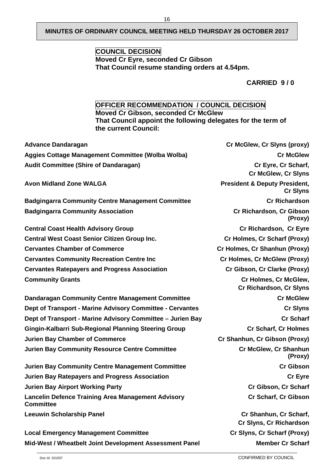# **COUNCIL DECISION Moved Cr Eyre, seconded Cr Gibson That Council resume standing orders at 4.54pm.**

**CARRIED 9 / 0**

# **OFFICER RECOMMENDATION / COUNCIL DECISION**

**Moved Cr Gibson, seconded Cr McGlew That Council appoint the following delegates for the term of the current Council:**

| <b>Advance Dandaragan</b>                                                     | Cr McGlew, Cr Slyns (proxy)                                 |
|-------------------------------------------------------------------------------|-------------------------------------------------------------|
| Aggies Cottage Management Committee (Wolba Wolba)                             | <b>Cr McGlew</b>                                            |
| <b>Audit Committee (Shire of Dandaragan)</b>                                  | Cr Eyre, Cr Scharf,<br><b>Cr McGlew, Cr Slyns</b>           |
| <b>Avon Midland Zone WALGA</b>                                                | <b>President &amp; Deputy President,</b><br><b>Cr Slyns</b> |
| <b>Badgingarra Community Centre Management Committee</b>                      | <b>Cr Richardson</b>                                        |
| <b>Badgingarra Community Association</b>                                      | Cr Richardson, Cr Gibson<br>(Proxy)                         |
| <b>Central Coast Health Advisory Group</b>                                    | Cr Richardson, Cr Eyre                                      |
| <b>Central West Coast Senior Citizen Group Inc.</b>                           | Cr Holmes, Cr Scharf (Proxy)                                |
| <b>Cervantes Chamber of Commerce</b>                                          | Cr Holmes, Cr Shanhun (Proxy)                               |
| <b>Cervantes Community Recreation Centre Inc</b>                              | Cr Holmes, Cr McGlew (Proxy)                                |
| <b>Cervantes Ratepayers and Progress Association</b>                          | Cr Gibson, Cr Clarke (Proxy)                                |
| <b>Community Grants</b>                                                       | Cr Holmes, Cr McGlew,<br><b>Cr Richardson, Cr Slyns</b>     |
| Dandaragan Community Centre Management Committee                              | <b>Cr McGlew</b>                                            |
| Dept of Transport - Marine Advisory Committee - Cervantes                     | <b>Cr Slyns</b>                                             |
| Dept of Transport - Marine Advisory Committee - Jurien Bay                    | <b>Cr Scharf</b>                                            |
| Gingin-Kalbarri Sub-Regional Planning Steering Group                          | <b>Cr Scharf, Cr Holmes</b>                                 |
| <b>Jurien Bay Chamber of Commerce</b>                                         | Cr Shanhun, Cr Gibson (Proxy)                               |
| <b>Jurien Bay Community Resource Centre Committee</b>                         | Cr McGlew, Cr Shanhun<br>(Proxy)                            |
| Jurien Bay Community Centre Management Committee                              | <b>Cr Gibson</b>                                            |
| <b>Jurien Bay Ratepayers and Progress Association</b>                         | <b>Cr Eyre</b>                                              |
| <b>Jurien Bay Airport Working Party</b>                                       | Cr Gibson, Cr Scharf                                        |
| <b>Lancelin Defence Training Area Management Advisory</b><br><b>Committee</b> | Cr Scharf, Cr Gibson                                        |
| <b>Leeuwin Scholarship Panel</b>                                              | Cr Shanhun, Cr Scharf,<br>Cr Slyns, Cr Richardson           |
| <b>Local Emergency Management Committee</b>                                   | Cr Slyns, Cr Scharf (Proxy)                                 |
| Mid-West / Wheatbelt Joint Development Assessment Panel                       | <b>Member Cr Scharf</b>                                     |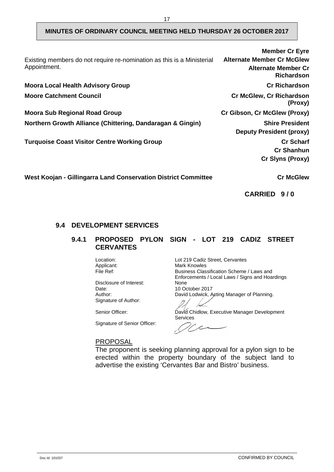| Existing members do not require re-nomination as this is a Ministerial<br>Appointment. | <b>Member Cr Eyre</b><br><b>Alternate Member Cr McGlew</b><br><b>Alternate Member Cr</b><br><b>Richardson</b> |
|----------------------------------------------------------------------------------------|---------------------------------------------------------------------------------------------------------------|
| <b>Moora Local Health Advisory Group</b>                                               | <b>Cr Richardson</b>                                                                                          |
| <b>Moore Catchment Council</b>                                                         | <b>Cr McGlew, Cr Richardson</b><br>(Proxy)                                                                    |
| <b>Moora Sub Regional Road Group</b>                                                   | Cr Gibson, Cr McGlew (Proxy)                                                                                  |
| Northern Growth Alliance (Chittering, Dandaragan & Gingin)                             | <b>Shire President</b><br><b>Deputy President (proxy)</b>                                                     |
| <b>Turquoise Coast Visitor Centre Working Group</b>                                    | <b>Cr Scharf</b><br><b>Cr Shanhun</b><br><b>Cr Slyns (Proxy)</b>                                              |
| West Koojan - Gillingarra Land Conservation District Committee                         | <b>Cr McGlew</b>                                                                                              |

**CARRIED 9 / 0**

# <span id="page-19-1"></span><span id="page-19-0"></span>**9.4 DEVELOPMENT SERVICES**

#### **9.4.1 PROPOSED PYLON SIGN - LOT 219 CADIZ STREET CERVANTES**

Disclosure of Interest:<br>Date: Date: 10 October 2017<br>Author: 10 David Lodwick, A Signature of Author:

Signature of Senior Officer:

Location: Lot 219 Cadiz Street, Cervantes<br>
Applicant: Mark Knowles Applicant: Mark Knowles<br>
File Ref: Susiness Class Business Classification Scheme / Laws and Enforcements / Local Laws / Signs and Hoardings David Lodwick, Acting Manager of Planning.

Senior Officer: David Chidlow, Executive Manager Development **Services** 

 $1/c$ 

#### PROPOSAL

The proponent is seeking planning approval for a pylon sign to be erected within the property boundary of the subject land to advertise the existing 'Cervantes Bar and Bistro' business.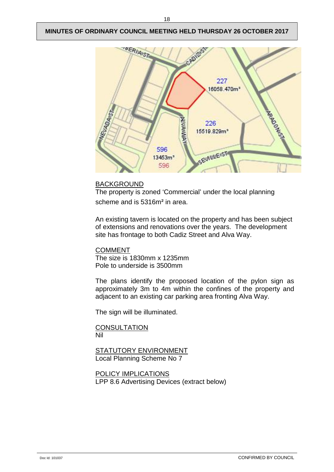

### **BACKGROUND**

The property is zoned 'Commercial' under the local planning scheme and is 5316m<sup>2</sup> in area.

An existing tavern is located on the property and has been subject of extensions and renovations over the years. The development site has frontage to both Cadiz Street and Alva Way.

COMMENT The size is 1830mm x 1235mm Pole to underside is 3500mm

The plans identify the proposed location of the pylon sign as approximately 3m to 4m within the confines of the property and adjacent to an existing car parking area fronting Alva Way.

The sign will be illuminated.

**CONSULTATION** Nil

STATUTORY ENVIRONMENT Local Planning Scheme No 7

POLICY IMPLICATIONS LPP 8.6 Advertising Devices (extract below)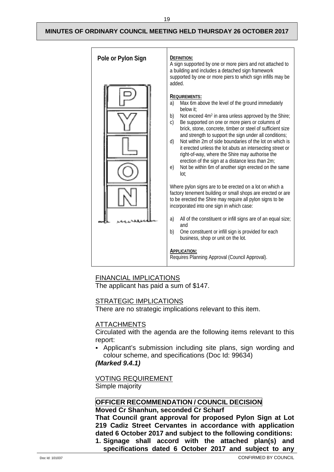

#### FINANCIAL IMPLICATIONS

The applicant has paid a sum of \$147.

#### STRATEGIC IMPLICATIONS

There are no strategic implications relevant to this item.

# ATTACHMENTS

Circulated with the agenda are the following items relevant to this report:

 Applicant's submission including site plans, sign wording and colour scheme, and specifications (Doc Id: 99634)

#### *(Marked 9.4.1)*

VOTING REQUIREMENT

Simple majority

### **OFFICER RECOMMENDATION / COUNCIL DECISION**

#### **Moved Cr Shanhun, seconded Cr Scharf**

**That Council grant approval for proposed Pylon Sign at Lot 219 Cadiz Street Cervantes in accordance with application dated 6 October 2017 and subject to the following conditions: 1. Signage shall accord with the attached plan(s) and** 

**specifications dated 6 October 2017 and subject to any**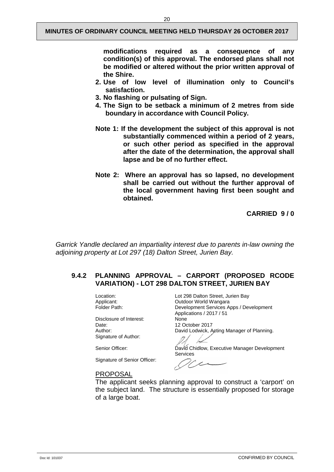**modifications required as a consequence of any condition(s) of this approval. The endorsed plans shall not be modified or altered without the prior written approval of the Shire.**

- **2. Use of low level of illumination only to Council's satisfaction.**
- **3. No flashing or pulsating of Sign.**
- **4. The Sign to be setback a minimum of 2 metres from side boundary in accordance with Council Policy.**
- **Note 1: If the development the subject of this approval is not substantially commenced within a period of 2 years, or such other period as specified in the approval after the date of the determination, the approval shall lapse and be of no further effect.**
- **Note 2: Where an approval has so lapsed, no development shall be carried out without the further approval of the local government having first been sought and obtained.**

**CARRIED 9 / 0**

*Garrick Yandle declared an impartiality interest due to parents in-law owning the adjoining property at Lot 297 (18) Dalton Street, Jurien Bay.* 

#### <span id="page-22-0"></span>**9.4.2 PLANNING APPROVAL – CARPORT (PROPOSED RCODE VARIATION) - LOT 298 DALTON STREET, JURIEN BAY**

Disclosure of Interest:<br>Date: Date: 12 October 2017<br>Author: 12 October 2017<br>David Lodwick A Signature of Author:

Signature of Senior Officer:

Location: Location: Lot 298 Dalton Street, Jurien Bay<br>
Applicant: Courdoor World Wangara Applicant: Camp Cutdoor World Wangara<br>
Folder Path: Camp Collection Development Services A Development Services Apps / Development Applications / 2017 / 51 David Lodwick, Acting Manager of Planning.

Senior Officer: <br>
David Chidlow, Executive Manager Development Services

 $\sim$ 

#### PROPOSAL

The applicant seeks planning approval to construct a 'carport' on the subject land. The structure is essentially proposed for storage of a large boat.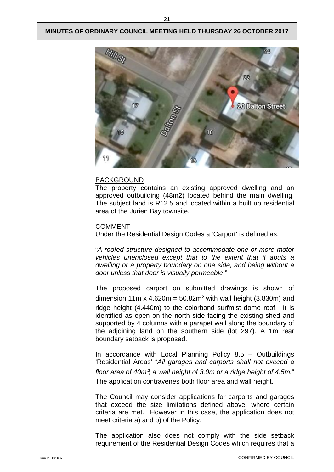

#### BACKGROUND

The property contains an existing approved dwelling and an approved outbuilding (48m2) located behind the main dwelling. The subject land is R12.5 and located within a built up residential area of the Jurien Bay townsite.

#### COMMENT

Under the Residential Design Codes a 'Carport' is defined as:

"*A roofed structure designed to accommodate one or more motor vehicles unenclosed except that to the extent that it abuts a dwelling or a property boundary on one side, and being without a door unless that door is visually permeable*."

The proposed carport on submitted drawings is shown of dimension 11m x 4.620m =  $50.82m<sup>2</sup>$  with wall height (3.830m) and ridge height (4.440m) to the colorbond surfmist dome roof. It is identified as open on the north side facing the existing shed and supported by 4 columns with a parapet wall along the boundary of the adjoining land on the southern side (lot 297). A 1m rear boundary setback is proposed.

In accordance with Local Planning Policy  $8.5 -$  Outbuildings 'Residential Areas' "*All garages and carports shall not exceed a floor area of 40m*²*, a wall height of 3.0m or a ridge height of 4.5m.*" The application contravenes both floor area and wall height.

The Council may consider applications for carports and garages that exceed the size limitations defined above, where certain criteria are met. However in this case, the application does not meet criteria a) and b) of the Policy.

The application also does not comply with the side setback requirement of the Residential Design Codes which requires that a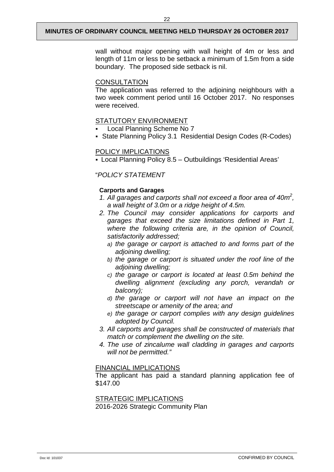wall without major opening with wall height of 4m or less and length of 11m or less to be setback a minimum of 1.5m from a side boundary. The proposed side setback is nil.

#### **CONSULTATION**

The application was referred to the adjoining neighbours with a two week comment period until 16 October 2017. No responses were received.

#### STATUTORY ENVIRONMENT

- Local Planning Scheme No 7
- State Planning Policy 3.1 Residential Design Codes (R-Codes)

#### POLICY IMPLICATIONS

Local Planning Policy 8.5 – Outbuildings 'Residential Areas'

#### "*POLICY STATEMENT*

#### **Carports and Garages**

- *1. All garages and carports shall not exceed a floor area of 40m2 , a wall height of 3.0m or a ridge height of 4.5m.*
- *2. The Council may consider applications for carports and garages that exceed the size limitations defined in Part 1, where the following criteria are, in the opinion of Council, satisfactorily addressed;*
	- *a) the garage or carport is attached to and forms part of the adjoining dwelling;*
	- *b) the garage or carport is situated under the roof line of the adjoining dwelling;*
	- *c) the garage or carport is located at least 0.5m behind the dwelling alignment (excluding any porch, verandah or balcony);*
	- *d) the garage or carport will not have an impact on the streetscape or amenity of the area; and*
	- *e) the garage or carport complies with any design guidelines adopted by Council.*
- *3. All carports and garages shall be constructed of materials that match or complement the dwelling on the site.*
- *4. The use of zincalume wall cladding in garages and carports will not be permitted."*

#### FINANCIAL IMPLICATIONS

The applicant has paid a standard planning application fee of \$147.00

#### STRATEGIC IMPLICATIONS 2016-2026 Strategic Community Plan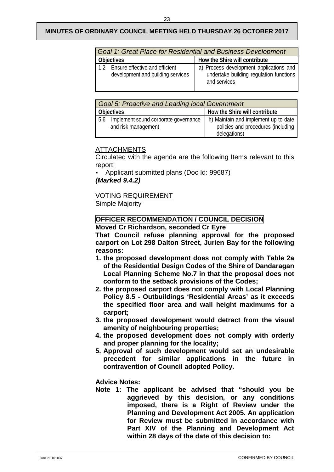| Goal 1: Great Place for Residential and Business Development              |                                                                                                    |  |  |
|---------------------------------------------------------------------------|----------------------------------------------------------------------------------------------------|--|--|
| <b>Objectives</b>                                                         | How the Shire will contribute                                                                      |  |  |
| Ensure effective and efficient<br>12<br>development and building services | a) Process development applications and<br>undertake building regulation functions<br>and services |  |  |

| <b>Goal 5: Proactive and Leading local Government</b> |                                                             |                                                                                            |
|-------------------------------------------------------|-------------------------------------------------------------|--------------------------------------------------------------------------------------------|
| <b>Objectives</b>                                     |                                                             | How the Shire will contribute                                                              |
| 5.6                                                   | Implement sound corporate governance<br>and risk management | h) Maintain and implement up to date<br>policies and procedures (including<br>delegations) |

# ATTACHMENTS

Circulated with the agenda are the following Items relevant to this report:

 Applicant submitted plans (Doc Id: 99687) *(Marked 9.4.2)*

### VOTING REQUIREMENT

Simple Majority

# **OFFICER RECOMMENDATION / COUNCIL DECISION**

**Moved Cr Richardson, seconded Cr Eyre**

**That Council refuse planning approval for the proposed carport on Lot 298 Dalton Street, Jurien Bay for the following reasons:**

- **1. the proposed development does not comply with Table 2a of the Residential Design Codes of the Shire of Dandaragan Local Planning Scheme No.7 in that the proposal does not conform to the setback provisions of the Codes;**
- **2. the proposed carport does not comply with Local Planning Policy 8.5 - Outbuildings 'Residential Areas' as it exceeds the specified floor area and wall height maximums for a carport;**
- **3. the proposed development would detract from the visual amenity of neighbouring properties;**
- **4. the proposed development does not comply with orderly and proper planning for the locality;**
- **5. Approval of such development would set an undesirable precedent for similar applications in the future in contravention of Council adopted Policy.**

#### **Advice Notes:**

**Note 1: The applicant be advised that "should you be aggrieved by this decision, or any conditions imposed, there is a Right of Review under the Planning and Development Act 2005. An application for Review must be submitted in accordance with Part XIV of the Planning and Development Act within 28 days of the date of this decision to:**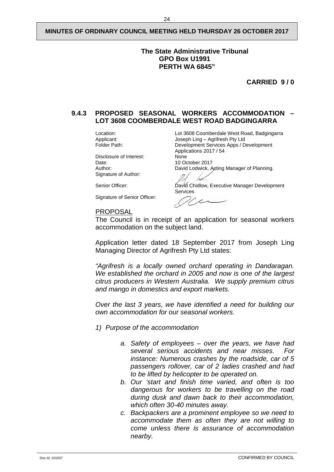#### **The State Administrative Tribunal GPO Box U1991 PERTH WA 6845"**

**CARRIED 9 / 0**

#### <span id="page-26-0"></span>**9.4.3 PROPOSED SEASONAL WORKERS ACCOMMODATION – LOT 3608 COOMBERDALE WEST ROAD BADGINGARRA**

Disclosure of Interest:<br>Date: Date: 10 October 2017<br>
Author: 10 October 2017<br>
David Lodwick, A Signature of Author:

Signature of Senior Officer:

Location: Location: Lot 3608 Coomberdale West Road, Badgingarra<br>
Applicant: Joseph Ling – Agrifresh Pty Ltd Applicant: Joseph Ling – Agrifresh Pty Ltd<br>
Folder Path: Development Services Apps / D Development Services Apps / Development Applications 2017 / 54 David Lodwick, Acting Manager of Planning.

Senior Officer: <br>
David Chidlow, Executive Manager Development Services

 $\overline{\phantom{a}}$ 

PROPOSAL The Council is in receipt of an application for seasonal workers accommodation on the subject land.

Application letter dated 18 September 2017 from Joseph Ling Managing Director of Agrifresh Pty Ltd states:

*"Agrifresh is a locally owned orchard operating in Dandaragan. We established the orchard in 2005 and now is one of the largest citrus producers in Western Australia. We supply premium citrus and mango in domestics and export markets.*

*Over the last 3 years, we have identified a need for building our own accommodation for our seasonal workers.*

- *1) Purpose of the accommodation*
	- *a. Safety of employees – over the years, we have had several serious accidents and near misses. For instance: Numerous crashes by the roadside, car of 5 passengers rollover, car of 2 ladies crashed and had to be lifted by helicopter to be operated on.*
	- *b. Our 'start and finish time varied, and often is too dangerous for workers to be travelling on the road during dusk and dawn back to their accommodation, which often 30-40 minutes away.*
	- *c. Backpackers are a prominent employee so we need to accommodate them as often they are not willing to come unless there is assurance of accommodation nearby.*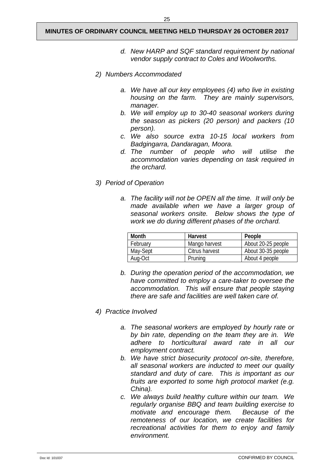- *d. New HARP and SQF standard requirement by national vendor supply contract to Coles and Woolworths.*
- *2) Numbers Accommodated*
	- *a. We have all our key employees (4) who live in existing housing on the farm. They are mainly supervisors, manager.*
	- *b. We will employ up to 30-40 seasonal workers during the season as pickers (20 person) and packers (10 person).*
	- *c. We also source extra 10-15 local workers from Badgingarra, Dandaragan, Moora.*
	- *d. The number of people who will utilise the accommodation varies depending on task required in the orchard.*
- *3) Period of Operation*
	- *a. The facility will not be OPEN all the time. It will only be made available when we have a larger group of seasonal workers onsite. Below shows the type of work we do during different phases of the orchard.*

| Month    | Harvest        | People             |
|----------|----------------|--------------------|
| February | Mango harvest  | About 20-25 people |
| May-Sept | Citrus harvest | About 30-35 people |
| Aug-Oct  | Pruning        | About 4 people     |

- *b. During the operation period of the accommodation, we have committed to employ a care-taker to oversee the accommodation. This will ensure that people staying there are safe and facilities are well taken care of.*
- *4) Practice Involved*
	- *a. The seasonal workers are employed by hourly rate or by bin rate, depending on the team they are in. We adhere to horticultural award rate in all our employment contract.*
	- *b. We have strict biosecurity protocol on-site, therefore, all seasonal workers are inducted to meet our quality standard and duty of care. This is important as our fruits are exported to some high protocol market (e.g. China).*
	- *c. We always build healthy culture within our team. We regularly organise BBQ and team building exercise to motivate and encourage them. Because of the remoteness of our location, we create facilities for recreational activities for them to enjoy and family environment.*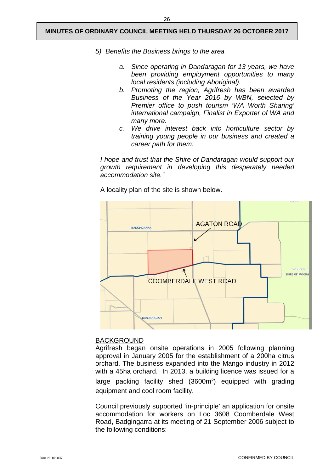- *5) Benefits the Business brings to the area*
	- *a. Since operating in Dandaragan for 13 years, we have been providing employment opportunities to many local residents (including Aboriginal).*
	- *b. Promoting the region, Agrifresh has been awarded Business of the Year 2016 by WBN, selected by Premier office to push tourism 'WA Worth Sharing' international campaign, Finalist in Exporter of WA and many more.*
	- *c. We drive interest back into horticulture sector by training young people in our business and created a career path for them.*

*I hope and trust that the Shire of Dandaragan would support our growth requirement in developing this desperately needed accommodation site."*

A locality plan of the site is shown below.



#### BACKGROUND

Agrifresh began onsite operations in 2005 following planning approval in January 2005 for the establishment of a 200ha citrus orchard. The business expanded into the Mango industry in 2012 with a 45ha orchard. In 2013, a building licence was issued for a large packing facility shed (3600m²) equipped with grading equipment and cool room facility.

Council previously supported 'in-principle' an application for onsite accommodation for workers on Loc 3608 Coomberdale West Road, Badgingarra at its meeting of 21 September 2006 subject to the following conditions: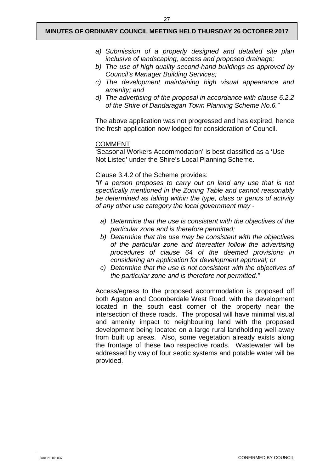- *a) Submission of a properly designed and detailed site plan inclusive of landscaping, access and proposed drainage;*
- *b) The use of high quality second-hand buildings as approved by Council's Manager Building Services;*
- *c) The development maintaining high visual appearance and amenity; and*
- *d) The advertising of the proposal in accordance with clause 6.2.2 of the Shire of Dandaragan Town Planning Scheme No.6."*

The above application was not progressed and has expired, hence the fresh application now lodged for consideration of Council.

#### COMMENT

'Seasonal Workers Accommodation' is best classified as a 'Use Not Listed' under the Shire's Local Planning Scheme.

#### Clause 3.4.2 of the Scheme provides:

*"If a person proposes to carry out on land any use that is not specifically mentioned in the Zoning Table and cannot reasonably be determined as falling within the type, class or genus of activity of any other use category the local government may -*

- *a) Determine that the use is consistent with the objectives of the particular zone and is therefore permitted;*
- *b) Determine that the use may be consistent with the objectives of the particular zone and thereafter follow the advertising procedures of clause 64 of the deemed provisions in considering an application for development approval; or*
- *c) Determine that the use is not consistent with the objectives of the particular zone and is therefore not permitted."*

Access/egress to the proposed accommodation is proposed off both Agaton and Coomberdale West Road, with the development located in the south east corner of the property near the intersection of these roads. The proposal will have minimal visual and amenity impact to neighbouring land with the proposed development being located on a large rural landholding well away from built up areas. Also, some vegetation already exists along the frontage of these two respective roads. Wastewater will be addressed by way of four septic systems and potable water will be provided.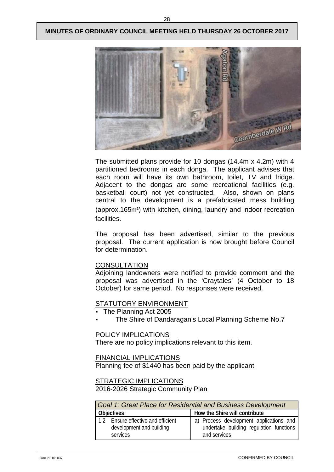

The submitted plans provide for 10 dongas (14.4m x 4.2m) with 4 partitioned bedrooms in each donga. The applicant advises that each room will have its own bathroom, toilet, TV and fridge. Adjacent to the dongas are some recreational facilities (e.g. basketball court) not yet constructed. Also, shown on plans central to the development is a prefabricated mess building (approx.165m²) with kitchen, dining, laundry and indoor recreation facilities.

The proposal has been advertised, similar to the previous proposal. The current application is now brought before Council for determination.

#### **CONSULTATION**

Adjoining landowners were notified to provide comment and the proposal was advertised in the 'Craytales' (4 October to 18 October) for same period. No responses were received.

#### STATUTORY ENVIRONMENT

- The Planning Act 2005
- The Shire of Dandaragan's Local Planning Scheme No.7

#### POLICY IMPLICATIONS

There are no policy implications relevant to this item.

FINANCIAL IMPLICATIONS

Planning fee of \$1440 has been paid by the applicant.

#### STRATEGIC IMPLICATIONS

2016-2026 Strategic Community Plan

| Goal 1: Great Place for Residential and Business Development               |                                                                                                    |  |
|----------------------------------------------------------------------------|----------------------------------------------------------------------------------------------------|--|
| <b>Objectives</b>                                                          | How the Shire will contribute                                                                      |  |
| 1.2 Ensure effective and efficient<br>development and building<br>services | a) Process development applications and<br>undertake building regulation functions<br>and services |  |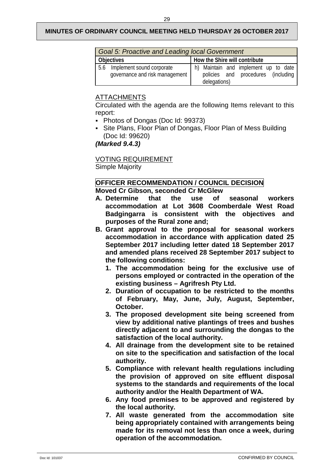| <b>Goal 5: Proactive and Leading local Government</b> |                                |  |                               |  |                                      |  |  |  |
|-------------------------------------------------------|--------------------------------|--|-------------------------------|--|--------------------------------------|--|--|--|
| <b>Objectives</b>                                     |                                |  | How the Shire will contribute |  |                                      |  |  |  |
|                                                       | 5.6 Implement sound corporate  |  |                               |  | h) Maintain and implement up to date |  |  |  |
|                                                       | governance and risk management |  |                               |  | policies and procedures (including   |  |  |  |
|                                                       |                                |  | delegations)                  |  |                                      |  |  |  |

# ATTACHMENTS

Circulated with the agenda are the following Items relevant to this report:

- Photos of Dongas (Doc Id: 99373)
- Site Plans, Floor Plan of Dongas, Floor Plan of Mess Building (Doc Id: 99620)

*(Marked 9.4.3)* 

VOTING REQUIREMENT Simple Majority

# **OFFICER RECOMMENDATION / COUNCIL DECISION**

### **Moved Cr Gibson, seconded Cr McGlew**

- **A. Determine that the use of seasonal workers accommodation at Lot 3608 Coomberdale West Road Badgingarra is consistent with the objectives and purposes of the Rural zone and;**
- **B. Grant approval to the proposal for seasonal workers accommodation in accordance with application dated 25 September 2017 including letter dated 18 September 2017 and amended plans received 28 September 2017 subject to the following conditions:**
	- **1. The accommodation being for the exclusive use of persons employed or contracted in the operation of the existing business – Agrifresh Pty Ltd.**
	- **2. Duration of occupation to be restricted to the months of February, May, June, July, August, September, October.**
	- **3. The proposed development site being screened from view by additional native plantings of trees and bushes directly adjacent to and surrounding the dongas to the satisfaction of the local authority.**
	- **4. All drainage from the development site to be retained on site to the specification and satisfaction of the local authority.**
	- **5. Compliance with relevant health regulations including the provision of approved on site effluent disposal systems to the standards and requirements of the local authority and/or the Health Department of WA.**
	- **6. Any food premises to be approved and registered by the local authority.**
	- **7. All waste generated from the accommodation site being appropriately contained with arrangements being made for its removal not less than once a week, during operation of the accommodation.**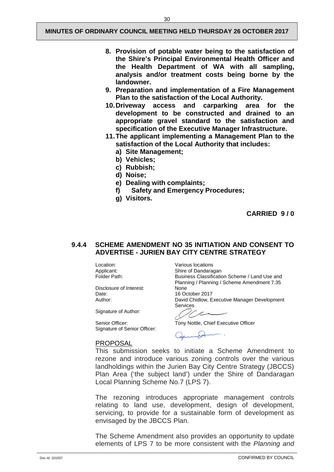- **8. Provision of potable water being to the satisfaction of the Shire's Principal Environmental Health Officer and the Health Department of WA with all sampling, analysis and/or treatment costs being borne by the landowner.**
- **9. Preparation and implementation of a Fire Management Plan to the satisfaction of the Local Authority.**
- **10.Driveway access and carparking area for the development to be constructed and drained to an appropriate gravel standard to the satisfaction and specification of the Executive Manager Infrastructure.**
- **11.The applicant implementing a Management Plan to the satisfaction of the Local Authority that includes:**
	- **a) Site Management;**
	- **b) Vehicles;**
	- **c) Rubbish;**
	- **d) Noise;**
	- **e) Dealing with complaints;**
	- **f) Safety and Emergency Procedures;**
	- **g) Visitors.**

**CARRIED 9 / 0**

#### <span id="page-32-0"></span>**9.4.4 SCHEME AMENDMENT NO 35 INITIATION AND CONSENT TO ADVERTISE - JURIEN BAY CITY CENTRE STRATEGY**

Location: Various locations<br>
Applicant: Shire of Dandara

Disclosure of Interest:<br>Date: Date: 16 October 2017<br>
Author: 16 October 2017<br>
David Chidlow F

Signature of Author:

Signature of Senior Officer:

#### PROPOSAL

Applicant: Shire of Dandaragan<br>
Folder Path: Shire Business Classification Business Classification Scheme / Land Use and Planning / Planning / Scheme Amendment 7.35 David Chidlow, Executive Manager Development Services

Senior Officer: Tony Nottle, Chief Executive Officer

This submission seeks to initiate a Scheme Amendment to rezone and introduce various zoning controls over the various landholdings within the Jurien Bay City Centre Strategy (JBCCS) Plan Area ('the subject land') under the Shire of Dandaragan Local Planning Scheme No.7 (LPS 7).

The rezoning introduces appropriate management controls relating to land use, development, design of development, servicing, to provide for a sustainable form of development as envisaged by the JBCCS Plan.

The Scheme Amendment also provides an opportunity to update elements of LPS 7 to be more consistent with the *Planning and*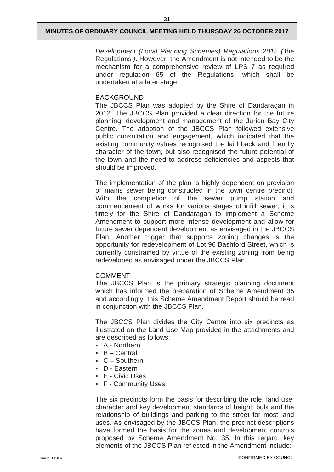*Development (Local Planning Schemes) Regulations 2015 ('*the Regulations*')*. However, the Amendment is not intended to be the mechanism for a comprehensive review of LPS 7 as required under regulation 65 of the Regulations, which shall be undertaken at a later stage.

#### BACKGROUND

The JBCCS Plan was adopted by the Shire of Dandaragan in 2012. The JBCCS Plan provided a clear direction for the future planning, development and management of the Jurien Bay City Centre. The adoption of the JBCCS Plan followed extensive public consultation and engagement, which indicated that the existing community values recognised the laid back and friendly character of the town, but also recognised the future potential of the town and the need to address deficiencies and aspects that should be improved.

The implementation of the plan is highly dependent on provision of mains sewer being constructed in the town centre precinct. With the completion of the sewer pump station and commencement of works for various stages of infill sewer, it is timely for the Shire of Dandaragan to implement a Scheme Amendment to support more intense development and allow for future sewer dependent development as envisaged in the JBCCS Plan. Another trigger that supports zoning changes is the opportunity for redevelopment of Lot 96 Bashford Street, which is currently constrained by virtue of the existing zoning from being redeveloped as envisaged under the JBCCS Plan.

#### COMMENT

The JBCCS Plan is the primary strategic planning document which has informed the preparation of Scheme Amendment 35 and accordingly, this Scheme Amendment Report should be read in conjunction with the JBCCS Plan.

The JBCCS Plan divides the City Centre into six precincts as illustrated on the Land Use Map provided in the attachments and are described as follows:

- A Northern
- B Central
- $\blacksquare$  C Southern
- D Eastern
- E Civic Uses
- F Community Uses

The six precincts form the basis for describing the role, land use, character and key development standards of height, bulk and the relationship of buildings and parking to the street for most land uses. As envisaged by the JBCCS Plan, the precinct descriptions have formed the basis for the zones and development controls proposed by Scheme Amendment No. 35. In this regard, key elements of the JBCCS Plan reflected in the Amendment include: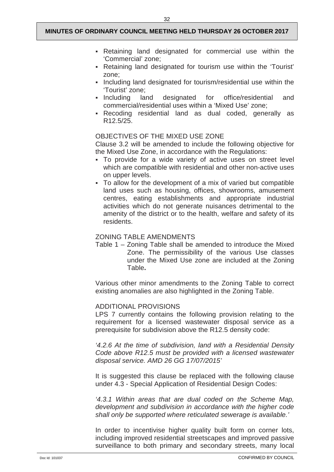- Retaining land designated for commercial use within the 'Commercial' zone;
- Retaining land designated for tourism use within the 'Tourist' zone;
- Including land designated for tourism/residential use within the 'Tourist' zone;
- Including land designated for office/residential and commercial/residential uses within a 'Mixed Use' zone;
- Recoding residential land as dual coded, generally as R12.5/25.

#### OBJECTIVES OF THE MIXED USE ZONE

Clause 3.2 will be amended to include the following objective for the Mixed Use Zone, in accordance with the Regulations:

- To provide for a wide variety of active uses on street level which are compatible with residential and other non-active uses on upper levels.
- To allow for the development of a mix of varied but compatible land uses such as housing, offices, showrooms, amusement centres, eating establishments and appropriate industrial activities which do not generate nuisances detrimental to the amenity of the district or to the health, welfare and safety of its residents.

#### ZONING TABLE AMENDMENTS

Table 1 – Zoning Table shall be amended to introduce the Mixed Zone. The permissibility of the various Use classes under the Mixed Use zone are included at the Zoning Table**.**

Various other minor amendments to the Zoning Table to correct existing anomalies are also highlighted in the Zoning Table.

#### ADDITIONAL PROVISIONS

LPS 7 currently contains the following provision relating to the requirement for a licensed wastewater disposal service as a prerequisite for subdivision above the R12.5 density code:

*'4.2.6 At the time of subdivision, land with a Residential Density Code above R12.5 must be provided with a licensed wastewater disposal service. AMD 26 GG 17/07/2015'*

It is suggested this clause be replaced with the following clause under 4.3 - Special Application of Residential Design Codes:

*'4.3.1 Within areas that are dual coded on the Scheme Map, development and subdivision in accordance with the higher code shall only be supported where reticulated sewerage is available.'*

In order to incentivise higher quality built form on corner lots, including improved residential streetscapes and improved passive surveillance to both primary and secondary streets, many local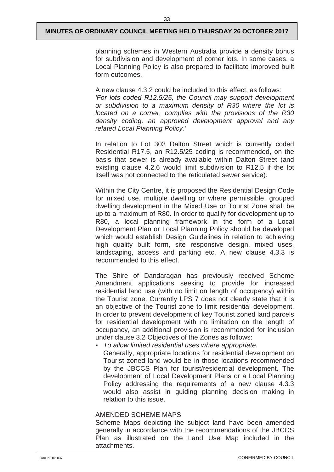planning schemes in Western Australia provide a density bonus for subdivision and development of corner lots. In some cases, a Local Planning Policy is also prepared to facilitate improved built form outcomes.

A new clause 4.3.2 could be included to this effect, as follows: *'For lots coded R12.5/25, the Council may support development or subdivision to a maximum density of R30 where the lot is located on a corner, complies with the provisions of the R30 density coding, an approved development approval and any related Local Planning Policy.'*

In relation to Lot 303 Dalton Street which is currently coded Residential R17.5, an R12.5/25 coding is recommended, on the basis that sewer is already available within Dalton Street (and existing clause 4.2.6 would limit subdivision to R12.5 if the lot itself was not connected to the reticulated sewer service).

Within the City Centre, it is proposed the Residential Design Code for mixed use, multiple dwelling or where permissible, grouped dwelling development in the Mixed Use or Tourist Zone shall be up to a maximum of R80. In order to qualify for development up to R80, a local planning framework in the form of a Local Development Plan or Local Planning Policy should be developed which would establish Design Guidelines in relation to achieving high quality built form, site responsive design, mixed uses, landscaping, access and parking etc. A new clause 4.3.3 is recommended to this effect.

The Shire of Dandaragan has previously received Scheme Amendment applications seeking to provide for increased residential land use (with no limit on length of occupancy) within the Tourist zone. Currently LPS 7 does not clearly state that it is an objective of the Tourist zone to limit residential development. In order to prevent development of key Tourist zoned land parcels for residential development with no limitation on the length of occupancy, an additional provision is recommended for inclusion under clause 3.2 Objectives of the Zones as follows:

 *To allow limited residential uses where appropriate.* Generally, appropriate locations for residential development on Tourist zoned land would be in those locations recommended by the JBCCS Plan for tourist/residential development. The development of Local Development Plans or a Local Planning Policy addressing the requirements of a new clause 4.3.3 would also assist in guiding planning decision making in relation to this issue.

#### AMENDED SCHEME MAPS

Scheme Maps depicting the subject land have been amended generally in accordance with the recommendations of the JBCCS Plan as illustrated on the Land Use Map included in the attachments.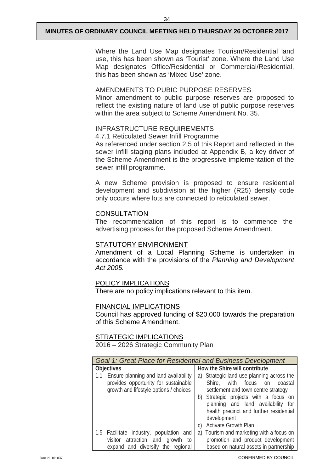Where the Land Use Map designates Tourism/Residential land use, this has been shown as 'Tourist' zone. Where the Land Use Map designates Office/Residential or Commercial/Residential, this has been shown as 'Mixed Use' zone.

#### AMENDMENTS TO PUBIC PURPOSE RESERVES

Minor amendment to public purpose reserves are proposed to reflect the existing nature of land use of public purpose reserves within the area subject to Scheme Amendment No. 35.

#### INFRASTRUCTURE REQUIREMENTS

4.7.1 Reticulated Sewer Infill Programme

As referenced under section 2.5 of this Report and reflected in the sewer infill staging plans included at Appendix B, a key driver of the Scheme Amendment is the progressive implementation of the sewer infill programme.

A new Scheme provision is proposed to ensure residential development and subdivision at the higher (R25) density code only occurs where lots are connected to reticulated sewer.

#### **CONSULTATION**

The recommendation of this report is to commence the advertising process for the proposed Scheme Amendment.

#### STATUTORY ENVIRONMENT

Amendment of a Local Planning Scheme is undertaken in accordance with the provisions of the *Planning and Development Act 2005.* 

#### POLICY IMPLICATIONS

There are no policy implications relevant to this item.

#### FINANCIAL IMPLICATIONS

Council has approved funding of \$20,000 towards the preparation of this Scheme Amendment.

#### STRATEGIC IMPLICATIONS

2016 – 2026 Strategic Community Plan

| Goal 1: Great Place for Residential and Business Development                                                                   |                                                                                                                                                                                                                                                                                                |  |  |  |  |  |  |
|--------------------------------------------------------------------------------------------------------------------------------|------------------------------------------------------------------------------------------------------------------------------------------------------------------------------------------------------------------------------------------------------------------------------------------------|--|--|--|--|--|--|
| <b>Objectives</b>                                                                                                              | How the Shire will contribute                                                                                                                                                                                                                                                                  |  |  |  |  |  |  |
| Ensure planning and land availability<br>1.1<br>provides opportunity for sustainable<br>growth and lifestyle options / choices | a) Strategic land use planning across the<br>Shire, with focus on coastal<br>settlement and town centre strategy<br>b) Strategic projects with a focus on<br>planning and land availability for<br>health precinct and further residential<br>development<br><b>Activate Growth Plan</b><br>C) |  |  |  |  |  |  |
| 1.5 Facilitate industry, population and<br>visitor attraction and growth<br>to<br>expand and diversify the regional            | a) Tourism and marketing with a focus on<br>promotion and product development<br>based on natural assets in partnership                                                                                                                                                                        |  |  |  |  |  |  |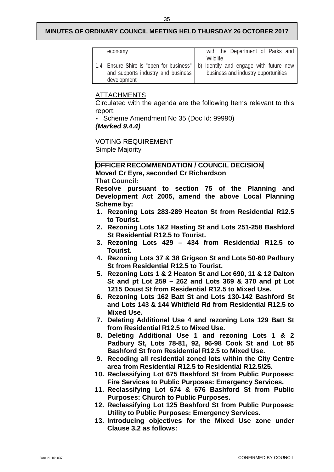| economy                            | with the Department of Parks and                                                 |
|------------------------------------|----------------------------------------------------------------------------------|
|                                    | Wildlife                                                                         |
|                                    | 1.4 Ensure Shire is "open for business"   b) Identify and engage with future new |
| and supports industry and business | business and industry opportunities                                              |
| development                        |                                                                                  |

# ATTACHMENTS

Circulated with the agenda are the following Items relevant to this report:

Scheme Amendment No 35 (Doc Id: 99990)

# *(Marked 9.4.4)*

VOTING REQUIREMENT

Simple Majority

### **OFFICER RECOMMENDATION / COUNCIL DECISION**

**Moved Cr Eyre, seconded Cr Richardson**

**That Council:**

**Resolve pursuant to section 75 of the Planning and Development Act 2005, amend the above Local Planning Scheme by:**

- **1. Rezoning Lots 283-289 Heaton St from Residential R12.5 to Tourist.**
- **2. Rezoning Lots 1&2 Hasting St and Lots 251-258 Bashford St Residential R12.5 to Tourist.**
- **3. Rezoning Lots 429 – 434 from Residential R12.5 to Tourist.**
- **4. Rezoning Lots 37 & 38 Grigson St and Lots 50-60 Padbury St from Residential R12.5 to Tourist.**
- **5. Rezoning Lots 1 & 2 Heaton St and Lot 690, 11 & 12 Dalton St and pt Lot 259 – 262 and Lots 369 & 370 and pt Lot 1215 Doust St from Residential R12.5 to Mixed Use.**
- **6. Rezoning Lots 162 Batt St and Lots 130-142 Bashford St and Lots 143 & 144 Whitfield Rd from Residential R12.5 to Mixed Use.**
- **7. Deleting Additional Use 4 and rezoning Lots 129 Batt St from Residential R12.5 to Mixed Use.**
- **8. Deleting Additional Use 1 and rezoning Lots 1 & 2 Padbury St, Lots 78-81, 92, 96-98 Cook St and Lot 95 Bashford St from Residential R12.5 to Mixed Use.**
- **9. Recoding all residential zoned lots within the City Centre area from Residential R12.5 to Residential R12.5/25.**
- **10. Reclassifying Lot 675 Bashford St from Public Purposes: Fire Services to Public Purposes: Emergency Services.**
- **11. Reclassifying Lot 674 & 676 Bashford St from Public Purposes: Church to Public Purposes.**
- **12. Reclassifying Lot 125 Bashford St from Public Purposes: Utility to Public Purposes: Emergency Services.**
- **13. Introducing objectives for the Mixed Use zone under Clause 3.2 as follows:**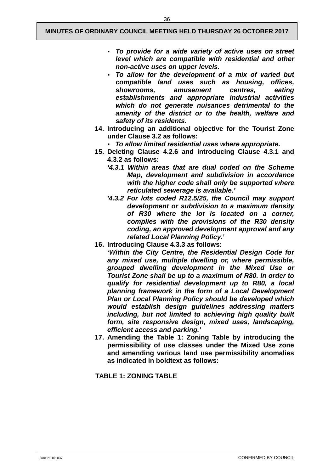- *To provide for a wide variety of active uses on street level which are compatible with residential and other non-active uses on upper levels.*
- *To allow for the development of a mix of varied but compatible land uses such as housing, offices, showrooms, amusement centres, eating establishments and appropriate industrial activities which do not generate nuisances detrimental to the amenity of the district or to the health, welfare and safety of its residents.*
- **14. Introducing an additional objective for the Tourist Zone under Clause 3.2 as follows:**
	- *To allow limited residential uses where appropriate.*
- **15. Deleting Clause 4.2.6 and introducing Clause 4.3.1 and 4.3.2 as follows:**
	- *'4.3.1 Within areas that are dual coded on the Scheme Map, development and subdivision in accordance with the higher code shall only be supported where reticulated sewerage is available.'*
	- *'4.3.2 For lots coded R12.5/25, the Council may support development or subdivision to a maximum density of R30 where the lot is located on a corner, complies with the provisions of the R30 density coding, an approved development approval and any related Local Planning Policy.'*
- **16. Introducing Clause 4.3.3 as follows:**
	- **'***Within the City Centre, the Residential Design Code for any mixed use, multiple dwelling or, where permissible, grouped dwelling development in the Mixed Use or Tourist Zone shall be up to a maximum of R80. In order to qualify for residential development up to R80, a local planning framework in the form of a Local Development Plan or Local Planning Policy should be developed which would establish design guidelines addressing matters including, but not limited to achieving high quality built form, site responsive design, mixed uses, landscaping, efficient access and parking.'*
- **17. Amending the Table 1: Zoning Table by introducing the permissibility of use classes under the Mixed Use zone and amending various land use permissibility anomalies as indicated in boldtext as follows:**

**TABLE 1: ZONING TABLE**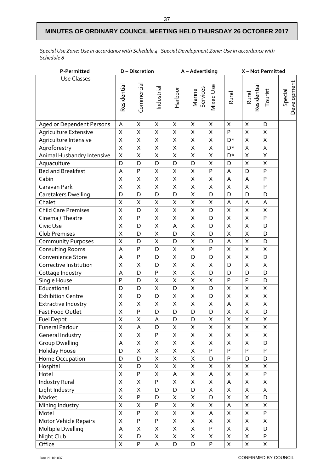*Special Use Zone: Use in accordance with Schedule 4 Special Development Zone: Use in accordance with Schedule 8*

| P-Permitted                | D-Discretion              |                         | A-Advertising             |                |                         | X-Not Permitted         |                         |                      |                           |                        |
|----------------------------|---------------------------|-------------------------|---------------------------|----------------|-------------------------|-------------------------|-------------------------|----------------------|---------------------------|------------------------|
| <b>Use Classes</b>         |                           |                         |                           |                |                         |                         |                         |                      |                           |                        |
|                            | Residential               | Commercial              | Industrial                | Harbour        | Marine<br>Services      | Mixed Use               | Rural                   | Rural<br>Residential | Tourist                   | Development<br>Special |
| Aged or Dependent Persons  | $\boldsymbol{\mathsf{A}}$ | Χ                       | $\sf X$                   | $\mathsf X$    | X                       | $\times$                | $\times$                | X                    | D                         |                        |
| Agriculture Extensive      | $\sf X$                   | Χ                       | $\mathsf X$               | X              | X                       | X                       | P                       | X                    | $\times$                  |                        |
| Agriculture Intensive      | $\sf X$                   | X                       | X                         | $\mathsf X$    | $\overline{\mathsf{X}}$ | $\sf X$                 | D*                      | X                    | $\mathsf X$               |                        |
| Agroforestry               | $\overline{\mathsf{X}}$   | $\overline{\mathsf{X}}$ | $\sf X$                   | $\sf X$        | $\overline{X}$          | $\overline{\mathsf{X}}$ | D*                      | X                    | $\sf X$                   |                        |
| Animal Husbandry Intensive | $\sf X$                   | Χ                       | $\mathsf X$               | $\mathsf X$    | $\sf X$                 | $\sf X$                 | D*                      | X                    | $\mathsf X$               |                        |
| Aquaculture                | D                         | D                       | D                         | D              | D                       | Χ                       | D                       | X                    | Χ                         |                        |
| <b>Bed and Breakfast</b>   | A                         | P                       | $\sf X$                   | $\sf X$        | $\sf X$                 | $\overline{P}$          | A                       | D                    | P                         |                        |
| Cabin                      | $\sf X$                   | X                       | $\sf X$                   | $\sf X$        | $\sf X$                 | $\sf X$                 | A                       | A                    | $\mathsf{P}$              |                        |
| Caravan Park               | $\sf X$                   | X                       | $\sf X$                   | $\sf X$        | $\sf X$                 | $\sf X$                 | $\times$                | X                    | P                         |                        |
| Caretakers Dwelling        | D                         | D                       | D                         | D              | $\sf X$                 | D                       | D                       | D                    | D                         |                        |
| Chalet                     | X                         | Χ                       | $\mathsf X$               | $\mathsf X$    | $\mathsf X$             | $\mathsf X$             | A                       | А                    | A                         |                        |
| <b>Child Care Premises</b> | $\overline{\mathsf{X}}$   | D                       | $\sf X$                   | $\sf X$        | $\overline{\mathsf{X}}$ | D                       | $\overline{\mathsf{X}}$ | X                    | X                         |                        |
| Cinema / Theatre           | $\sf X$                   | P                       | $\sf X$                   | $\sf X$        | $\sf X$                 | D                       | $\sf X$                 | $\sf X$              | P                         |                        |
| Civic Use                  | $\overline{\mathsf{X}}$   | D                       | $\sf X$                   | $\mathsf A$    | $\overline{X}$          | D                       | $\sf X$                 | X                    | D                         |                        |
| <b>Club Premises</b>       | X                         | D                       | $\sf X$                   | D              | $\sf X$                 | D                       | $\mathsf X$             | Χ                    | D                         |                        |
| <b>Community Purposes</b>  | $\sf X$                   | D                       | $\mathsf X$               | D              | $\sf X$                 | D                       | A                       | X                    | D                         |                        |
| Consulting Rooms           | A                         | P                       | D                         | $\sf X$        | $\overline{\mathsf{x}}$ | $\mathsf{P}$            | $\overline{X}$          | $\mathsf{X}$         | $\sf X$                   |                        |
| Convenience Store          | A                         | P                       | D                         | $\sf X$        | D                       | D                       | $\sf X$                 | $\sf X$              | D                         |                        |
| Corrective Institution     | $\sf X$                   | X                       | D                         | $\sf X$        | $\sf X$                 | $\sf X$                 | D                       | X                    | $\mathsf X$               |                        |
| Cottage Industry           | A                         | D                       | $\mathsf{P}$              | $\sf X$        | $\sf X$                 | D                       | D                       | D                    | D                         |                        |
| Single House               | $\mathsf{P}$              | D                       | X                         | $\mathsf X$    | $\mathsf X$             | Χ                       | P                       | P                    | D                         |                        |
| Educational                | D                         | D                       | $\sf X$                   | D              | $\sf X$                 | D                       | $\sf X$                 | X                    | $\boldsymbol{\mathsf{X}}$ |                        |
| <b>Exhibition Centre</b>   | $\sf X$                   | D                       | D                         | $\sf X$        | $\sf X$                 | D                       | $\sf X$                 | $\mathsf{X}% _{0}$   | $\sf X$                   |                        |
| <b>Extractive Industry</b> | $\sf X$                   | Χ                       | $\mathsf X$               | $\mathsf X$    | $\sf X$                 | Χ                       | A                       | Χ                    | $\sf X$                   |                        |
| Fast Food Outlet           | $\sf X$                   | P                       | D                         | D              | D                       | D                       | $\sf X$                 | X                    | D                         |                        |
| Fuel Depot                 | $\overline{\mathsf{X}}$   | $\overline{\mathsf{x}}$ | A                         | $\overline{D}$ | $\overline{D}$          | $\overline{\mathsf{X}}$ | $\overline{\mathsf{X}}$ | $\overline{X}$       | $\overline{X}$            |                        |
| <b>Funeral Parlour</b>     | $\sf X$                   | A                       | D                         | Χ              | X                       | X                       | $\sf X$                 | $\mathsf X$          | X                         |                        |
| General Industry           | $\sf X$                   | X                       | P                         | $\mathsf X$    | $\overline{\mathsf{X}}$ | X                       | $\sf X$                 | X                    | Χ                         |                        |
| <b>Group Dwelling</b>      | $\boldsymbol{\mathsf{A}}$ | $\sf X$                 | $\sf X$                   | $\sf X$        | $\sf X$                 | X                       | $\sf X$                 | $\sf X$              | D                         |                        |
| <b>Holiday House</b>       | D                         | X                       | X                         | X              | $\mathsf X$             | P                       | P                       | P                    | P                         |                        |
| Home Occupation            | D                         | D                       | X                         | $\mathsf X$    | Χ                       | D                       | P                       | D                    | D                         |                        |
| Hospital                   | $\sf X$                   | D                       | $\sf X$                   | $\sf X$        | $\sf X$                 | X                       | $\sf X$                 | $\sf X$              | $\mathsf X$               |                        |
| Hotel                      | $\sf X$                   | $\mathsf{P}$            | $\mathsf X$               | A              | Χ                       | A                       | $\mathsf X$             | X                    | P                         |                        |
| <b>Industry Rural</b>      | $\mathsf X$               | Χ                       | P                         | X              | Χ                       | Χ                       | A                       | X                    | X                         |                        |
| Light Industry             | $\sf X$                   | X                       | D                         | D              | D                       | X                       | $\sf X$                 | $\mathsf X$          | X                         |                        |
| Market                     | $\sf X$                   | P                       | D                         | $\mathsf X$    | X                       | D                       | X                       | X                    | D                         |                        |
| Mining Industry            | $\mathsf X$               | X                       | P                         | X              | X                       | Χ                       | A                       | X                    | X                         |                        |
| Motel                      | $\sf X$                   | P                       | X                         | $\mathsf X$    | $\sf X$                 | A                       | $\sf X$                 | Χ                    | P                         |                        |
| Motor Vehicle Repairs      | $\sf X$                   | ${\sf P}$               | $\sf P$                   | $\sf X$        | $\mathsf X$             | Χ                       | $\sf X$                 | Χ                    | $\mathsf X$               |                        |
| Multiple Dwelling          | A                         | X                       | $\mathsf X$               | $\sf X$        | $\sf X$                 | ${\sf P}$               | $\sf X$                 | X                    | D                         |                        |
| Night Club                 | $\sf X$                   | D                       | $\mathsf X$               | $\mathsf X$    | $\mathsf X$             | X                       | $\mathsf X$             | Χ                    | P                         |                        |
| Office                     | $\sf X$                   | P                       | $\boldsymbol{\mathsf{A}}$ | D              | D                       | P                       | $\mathsf X$             | $\mathsf X$          | $\mathsf X$               |                        |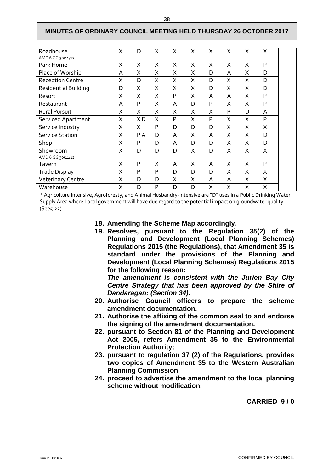| Roadhouse                   | X | D              | X        | X | X | X | $\times$ | X | $\times$ |  |
|-----------------------------|---|----------------|----------|---|---|---|----------|---|----------|--|
| AMD 6 GG 30/11/12           |   |                |          |   |   |   |          |   |          |  |
| Park Home                   | X | X              | $\times$ | X | X | X | $\times$ | X | P        |  |
| Place of Worship            | A | X              | X        | X | X | D | A        | X | D        |  |
| <b>Reception Centre</b>     | X | D              | X        | X | X | D | X        | X | D        |  |
| <b>Residential Building</b> | D | X              | X        | X | X | D | X        | X | D        |  |
| Resort                      | X | X              | X        | P | X | A | A        | X | P        |  |
| Restaurant                  | A | P              | $\times$ | A | D | P | $\times$ | X | P        |  |
| Rural Pursuit               | X | X              | X        | X | X | X | P        | D | A        |  |
| <b>Serviced Apartment</b>   | X | <b>XD</b>      | X        | P | X | P | X        | X | P        |  |
| Service Industry            | X | X              | P        | D | D | D | X        | X | $\times$ |  |
| <b>Service Station</b>      | X | P <sub>A</sub> | D        | A | X | A | X        | X | D        |  |
| Shop                        | X | P              | D        | A | D | D | X        | X | D        |  |
| Showroom                    | X | D              | D        | D | X | D | X        | X | $\times$ |  |
| AMD 6 GG 30/11/12           |   |                |          |   |   |   |          |   |          |  |
| Tavern                      | X | P              | X        | A | X | A | X        | X | P        |  |
| <b>Trade Display</b>        | X | P              | P        | D | D | D | X        | X | X        |  |
| <b>Veterinary Centre</b>    | X | D              | D        | X | X | A | A        | X | X        |  |
| Warehouse                   | Χ | D              | P        | D | D | X | X        | X | X        |  |

\* Agriculture Intensive, Agroforesty, and Animal Husbandry-Intensive are "D" uses in a Public Drinking Water Supply Area where Local government will have due regard to the potential impact on groundwater quality. (See5.22)

- **18. Amending the Scheme Map accordingly.**
- **19. Resolves, pursuant to the Regulation 35(2) of the Planning and Development (Local Planning Schemes) Regulations 2015 (the Regulations), that Amendment 35 is standard under the provisions of the Planning and Development (Local Planning Schemes) Regulations 2015 for the following reason:**

*The amendment is consistent with the Jurien Bay City Centre Strategy that has been approved by the Shire of Dandaragan; (Section 34).*

- **20. Authorise Council officers to prepare the scheme amendment documentation.**
- **21. Authorise the affixing of the common seal to and endorse the signing of the amendment documentation.**
- **22. pursuant to Section 81 of the Planning and Development Act 2005, refers Amendment 35 to the Environmental Protection Authority;**
- **23. pursuant to regulation 37 (2) of the Regulations, provides two copies of Amendment 35 to the Western Australian Planning Commission**
- <span id="page-40-0"></span>**24. proceed to advertise the amendment to the local planning scheme without modification.**

**CARRIED 9 / 0**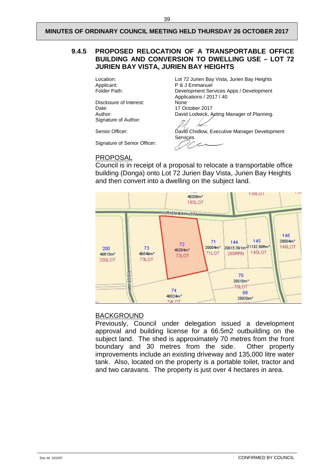#### **9.4.5 PROPOSED RELOCATION OF A TRANSPORTABLE OFFICE BUILDING AND CONVERSION TO DWELLING USE – LOT 72 JURIEN BAY VISTA, JURIEN BAY HEIGHTS**

Disclosure of Interest:<br>Date: Date: 17 October 2017<br>Author: 17 October 2017<br>David Lodwick, A Signature of Author:

Signature of Senior Officer:

Location: Lot 72 Jurien Bay Vista, Jurien Bay Heights<br>
P & J Emmanuel<br>
P & J Emmanuel Applicant: P & J Emmanuel<br>
Folder Path: Development Ser Development Services Apps / Development Applications / 2017 / 40 David Lodwick, Acting Manager of Planning.

Senior Officer: <br>
David Chidlow, Executive Manager Development Services

#### PROPOSAL

Council is in receipt of a proposal to relocate a transportable office building (Donga) onto Lot 72 Jurien Bay Vista, Jurien Bay Heights and then convert into a dwelling on the subject land.



#### BACKGROUND

Previously, Council under delegation issued a development approval and building license for a 66.5m2 outbuilding on the subject land. The shed is approximately 70 metres from the front boundary and 30 metres from the side. Other property improvements include an existing driveway and 135,000 litre water tank. Also, located on the property is a portable toilet, tractor and and two caravans. The property is just over 4 hectares in area.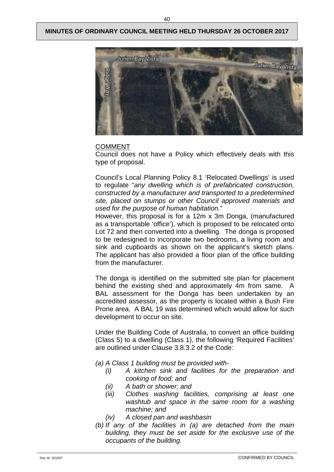

#### COMMENT

Council does not have a Policy which effectively deals with this type of proposal.

Council's Local Planning Policy 8.1 'Relocated Dwellings' is used to regulate "*any dwelling which is of prefabricated construction, constructed by a manufacturer and transported to a predetermined site, placed on stumps or other Council approved materials and used for the purpose of human habitation.*"

However, this proposal is for a 12m x 3m Donga, (manufactured as a transportable 'office'), which is proposed to be relocated onto Lot 72 and then converted into a dwelling. The donga is proposed to be redesigned to incorporate two bedrooms, a living room and sink and cupboards as shown on the applicant's sketch plans. The applicant has also provided a floor plan of the office building from the manufacturer.

The donga is identified on the submitted site plan for placement behind the existing shed and approximately 4m from same. A BAL assessment for the Donga has been undertaken by an accredited assessor, as the property is located within a Bush Fire Prone area. A BAL 19 was determined which would allow for such development to occur on site.

Under the Building Code of Australia, to convert an office building (Class 5) to a dwelling (Class 1), the following 'Required Facilities' are outlined under Clause 3.8.3.2 of the Code:

- *(a) A Class 1 building must be provided with-*
	- *(i) A kitchen sink and facilities for the preparation and cooking of food; and*
	- *(ii) A bath or shower; and*
	- *(iii) Clothes washing facilities, comprising at least one washtub and space in the same room for a washing machine; and*
	- *(iv) A closed pan and washbasin*
- *(b) If any of the facilities in (a) are detached from the main building, they must be set aside for the exclusive use of the occupants of the building.*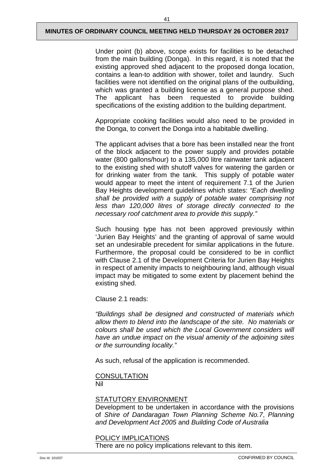Under point (b) above, scope exists for facilities to be detached from the main building (Donga). In this regard, it is noted that the existing approved shed adjacent to the proposed donga location, contains a lean-to addition with shower, toilet and laundry. Such facilities were not identified on the original plans of the outbuilding, which was granted a building license as a general purpose shed. The applicant has been requested to provide building specifications of the existing addition to the building department.

Appropriate cooking facilities would also need to be provided in the Donga, to convert the Donga into a habitable dwelling.

The applicant advises that a bore has been installed near the front of the block adjacent to the power supply and provides potable water (800 gallons/hour) to a 135,000 litre rainwater tank adjacent to the existing shed with shutoff valves for watering the garden or for drinking water from the tank. This supply of potable water would appear to meet the intent of requirement 7.1 of the Jurien Bay Heights development guidelines which states: *"Each dwelling shall be provided with a supply of potable water comprising not less than 120,000 litres of storage directly connected to the necessary roof catchment area to provide this supply."*

Such housing type has not been approved previously within 'Jurien Bay Heights' and the granting of approval of same would set an undesirable precedent for similar applications in the future. Furthermore, the proposal could be considered to be in conflict with Clause 2.1 of the Development Criteria for Jurien Bay Heights in respect of amenity impacts to neighbouring land, although visual impact may be mitigated to some extent by placement behind the existing shed.

Clause 2.1 reads:

*"Buildings shall be designed and constructed of materials which allow them to blend into the landscape of the site. No materials or colours shall be used which the Local Government considers will have an undue impact on the visual amenity of the adjoining sites or the surrounding locality."* 

As such, refusal of the application is recommended.

#### **CONSULTATION** Nil

#### STATUTORY ENVIRONMENT

Development to be undertaken in accordance with the provisions of *Shire of Dandaragan Town Planning Scheme No.7*, *Planning and Development Act 2005* and *Building Code of Australia*

# POLICY IMPLICATIONS

There are no policy implications relevant to this item.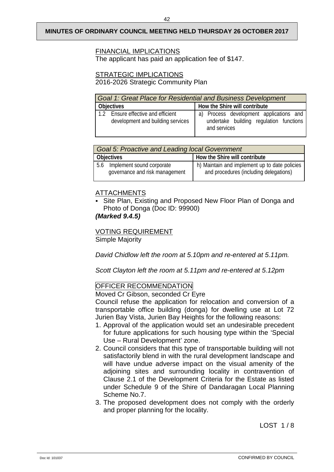### FINANCIAL IMPLICATIONS

The applicant has paid an application fee of \$147.

#### STRATEGIC IMPLICATIONS

2016-2026 Strategic Community Plan

| Goal 1: Great Place for Residential and Business Development               |                                                                                                    |  |  |  |  |  |
|----------------------------------------------------------------------------|----------------------------------------------------------------------------------------------------|--|--|--|--|--|
| Objectives                                                                 | How the Shire will contribute                                                                      |  |  |  |  |  |
| Ensure effective and efficient<br>1.2<br>development and building services | a) Process development applications and<br>undertake building regulation functions<br>and services |  |  |  |  |  |

| <b>Goal 5: Proactive and Leading local Government</b>           |                                                                                         |  |  |  |  |  |
|-----------------------------------------------------------------|-----------------------------------------------------------------------------------------|--|--|--|--|--|
| <b>Objectives</b>                                               | How the Shire will contribute                                                           |  |  |  |  |  |
| 5.6 Implement sound corporate<br>governance and risk management | h) Maintain and implement up to date policies<br>and procedures (including delegations) |  |  |  |  |  |

# ATTACHMENTS

 Site Plan, Existing and Proposed New Floor Plan of Donga and Photo of Donga (Doc ID: 99900)

### *(Marked 9.4.5)*

VOTING REQUIREMENT Simple Majority

*David Chidlow left the room at 5.10pm and re-entered at 5.11pm.*

*Scott Clayton left the room at 5.11pm and re-entered at 5.12pm*

# OFFICER RECOMMENDATION

Moved Cr Gibson, seconded Cr Eyre

Council refuse the application for relocation and conversion of a transportable office building (donga) for dwelling use at Lot 72 Jurien Bay Vista, Jurien Bay Heights for the following reasons:

- 1. Approval of the application would set an undesirable precedent for future applications for such housing type within the 'Special Use – Rural Development' zone.
- 2. Council considers that this type of transportable building will not satisfactorily blend in with the rural development landscape and will have undue adverse impact on the visual amenity of the adjoining sites and surrounding locality in contravention of Clause 2.1 of the Development Criteria for the Estate as listed under Schedule 9 of the Shire of Dandaragan Local Planning Scheme No.7.
- 3. The proposed development does not comply with the orderly and proper planning for the locality.

LOST 1/8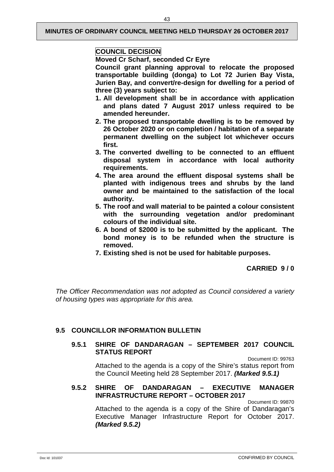# **COUNCIL DECISION**

#### **Moved Cr Scharf, seconded Cr Eyre**

**Council grant planning approval to relocate the proposed transportable building (donga) to Lot 72 Jurien Bay Vista, Jurien Bay, and convert/re-design for dwelling for a period of three (3) years subject to:**

- **1. All development shall be in accordance with application and plans dated 7 August 2017 unless required to be amended hereunder.**
- **2. The proposed transportable dwelling is to be removed by 26 October 2020 or on completion / habitation of a separate permanent dwelling on the subject lot whichever occurs first.**
- **3. The converted dwelling to be connected to an effluent disposal system in accordance with local authority requirements.**
- **4. The area around the effluent disposal systems shall be planted with indigenous trees and shrubs by the land owner and be maintained to the satisfaction of the local authority.**
- **5. The roof and wall material to be painted a colour consistent with the surrounding vegetation and/or predominant colours of the individual site.**
- **6. A bond of \$2000 is to be submitted by the applicant. The bond money is to be refunded when the structure is removed.**
- **7. Existing shed is not be used for habitable purposes.**

# **CARRIED 9 / 0**

*The Officer Recommendation was not adopted as Council considered a variety of housing types was appropriate for this area.*

# <span id="page-45-1"></span><span id="page-45-0"></span>**9.5 COUNCILLOR INFORMATION BULLETIN**

#### **9.5.1 SHIRE OF DANDARAGAN – SEPTEMBER 2017 COUNCIL STATUS REPORT**

Document ID: 99763

Attached to the agenda is a copy of the Shire's status report from the Council Meeting held 28 September 2017. *(Marked 9.5.1)*

#### <span id="page-45-2"></span>**9.5.2 SHIRE OF DANDARAGAN – EXECUTIVE MANAGER INFRASTRUCTURE REPORT – OCTOBER 2017**

Document ID: 99870

Attached to the agenda is a copy of the Shire of Dandaragan's Executive Manager Infrastructure Report for October 2017. *(Marked 9.5.2)*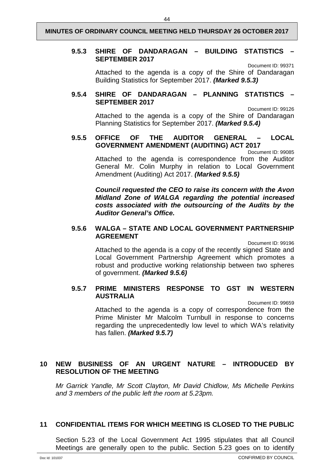#### <span id="page-46-0"></span>**9.5.3 SHIRE OF DANDARAGAN – BUILDING STATISTICS – SEPTEMBER 2017**

Document ID: 99371

Attached to the agenda is a copy of the Shire of Dandaragan Building Statistics for September 2017. *(Marked 9.5.3)*

#### <span id="page-46-1"></span>**9.5.4 SHIRE OF DANDARAGAN – PLANNING STATISTICS – SEPTEMBER 2017**

Document ID: 99126 Attached to the agenda is a copy of the Shire of Dandaragan Planning Statistics for September 2017. *(Marked 9.5.4)*

#### <span id="page-46-2"></span>**9.5.5 OFFICE OF THE AUDITOR GENERAL – LOCAL GOVERNMENT AMENDMENT (AUDITING) ACT 2017**

Document ID: 99085

Attached to the agenda is correspondence from the Auditor General Mr. Colin Murphy in relation to Local Government Amendment (Auditing) Act 2017. *(Marked 9.5.5)*

*Council requested the CEO to raise its concern with the Avon Midland Zone of WALGA regarding the potential increased costs associated with the outsourcing of the Audits by the Auditor General's Office.*

#### <span id="page-46-3"></span>**9.5.6 WALGA – STATE AND LOCAL GOVERNMENT PARTNERSHIP AGREEMENT**

Document ID: 99196

Attached to the agenda is a copy of the recently signed State and Local Government Partnership Agreement which promotes a robust and productive working relationship between two spheres of government. *(Marked 9.5.6)*

#### <span id="page-46-4"></span>**9.5.7 PRIME MINISTERS RESPONSE TO GST IN WESTERN AUSTRALIA**

Document ID: 99659

Attached to the agenda is a copy of correspondence from the Prime Minister Mr Malcolm Turnbull in response to concerns regarding the unprecedentedly low level to which WA's relativity has fallen. *(Marked 9.5.7)*

### <span id="page-46-5"></span>**10 NEW BUSINESS OF AN URGENT NATURE – INTRODUCED BY RESOLUTION OF THE MEETING**

*Mr Garrick Yandle, Mr Scott Clayton, Mr David Chidlow, Ms Michelle Perkins and 3 members of the public left the room at 5.23pm.*

#### <span id="page-46-6"></span>**11 CONFIDENTIAL ITEMS FOR WHICH MEETING IS CLOSED TO THE PUBLIC**

Section 5.23 of the Local Government Act 1995 stipulates that all Council Meetings are generally open to the public. Section 5.23 goes on to identify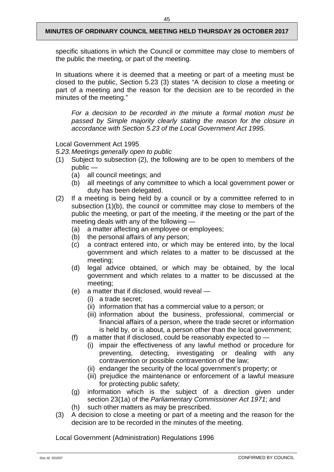specific situations in which the Council or committee may close to members of the public the meeting, or part of the meeting.

In situations where it is deemed that a meeting or part of a meeting must be closed to the public, Section 5.23 (3) states "A decision to close a meeting or part of a meeting and the reason for the decision are to be recorded in the minutes of the meeting."

*For a decision to be recorded in the minute a formal motion must be passed by Simple majority clearly stating the reason for the closure in accordance with Section 5.23 of the Local Government Act 1995.*

Local Government Act 1995

*5.23.Meetings generally open to public*

- (1) Subject to subsection (2), the following are to be open to members of the public —
	- (a) all council meetings; and
	- (b) all meetings of any committee to which a local government power or duty has been delegated.
- (2) If a meeting is being held by a council or by a committee referred to in subsection (1)(b), the council or committee may close to members of the public the meeting, or part of the meeting, if the meeting or the part of the meeting deals with any of the following —
	- (a) a matter affecting an employee or employees;
	- (b) the personal affairs of any person;
	- (c) a contract entered into, or which may be entered into, by the local government and which relates to a matter to be discussed at the meeting;
	- (d) legal advice obtained, or which may be obtained, by the local government and which relates to a matter to be discussed at the meeting;
	- (e) a matter that if disclosed, would reveal
		- (i) a trade secret;
		- (ii) information that has a commercial value to a person; or
		- (iii) information about the business, professional, commercial or financial affairs of a person, where the trade secret or information is held by, or is about, a person other than the local government;
	- (f) a matter that if disclosed, could be reasonably expected to
		- (i) impair the effectiveness of any lawful method or procedure for preventing, detecting, investigating or dealing with any contravention or possible contravention of the law;
		- (ii) endanger the security of the local government's property; or
		- (iii) prejudice the maintenance or enforcement of a lawful measure for protecting public safety;
	- (g) information which is the subject of a direction given under section 23(1a) of the *Parliamentary Commissioner Act 1971*; and
	- (h) such other matters as may be prescribed.
- (3) A decision to close a meeting or part of a meeting and the reason for the decision are to be recorded in the minutes of the meeting.

Local Government (Administration) Regulations 1996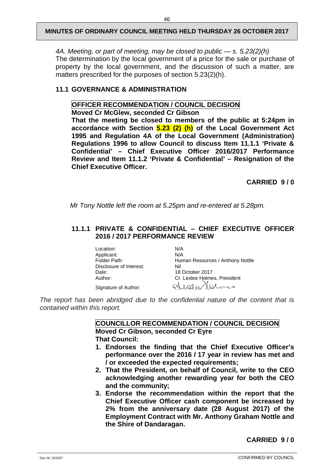*4A. Meeting, or part of meeting, may be closed to public — s. 5.23(2)(h)* The determination by the local government of a price for the sale or purchase of property by the local government, and the discussion of such a matter, are matters prescribed for the purposes of section 5.23(2)(h).

#### <span id="page-48-0"></span>**11.1 GOVERNANCE & ADMINISTRATION**

#### **OFFICER RECOMMENDATION / COUNCIL DECISION**

**Moved Cr McGlew, seconded Cr Gibson**

**That the meeting be closed to members of the public at 5:24pm in accordance with Section 5.23 (2) (h) of the Local Government Act 1995 and Regulation 4A of the Local Government (Administration) Regulations 1996 to allow Council to discuss Item 11.1.1 'Private & Confidential' – Chief Executive Officer 2016/2017 Performance Review and Item 11.1.2 'Private & Confidential' – Resignation of the Chief Executive Officer.**

**CARRIED 9 / 0**

*Mr Tony Nottle left the room at 5.25pm and re-entered at 5.28pm.*

#### <span id="page-48-1"></span>**11.1.1 PRIVATE & CONFIDENTIAL – CHIEF EXECUTIVE OFFICER 2016 / 2017 PERFORMANCE REVIEW**

Location: N/A<br>Applicant: N/A Applicant:<br>Folder Path: Disclosure of Interest:<br>Date: Date: 18 October 2017<br>
Author: Cr. Leslee Holme Signature of Author:

[Human](javascript:NavigateFolder() Resources / Anthony Nottle<br>Nil Cr. Leslee Holmes, President Sisla Molinis

*The report has been abridged due to the confidential nature of the content that is contained within this report.*

> **COUNCILLOR RECOMMENDATION / COUNCIL DECISION Moved Cr Gibson, seconded Cr Eyre That Council:**

- **1. Endorses the finding that the Chief Executive Officer's performance over the 2016 / 17 year in review has met and / or exceeded the expected requirements;**
- **2. That the President, on behalf of Council, write to the CEO acknowledging another rewarding year for both the CEO and the community;**
- **3. Endorse the recommendation within the report that the Chief Executive Officer cash component be increased by 2% from the anniversary date (28 August 2017) of the Employment Contract with Mr. Anthony Graham Nottle and the Shire of Dandaragan.**

**CARRIED 9 / 0**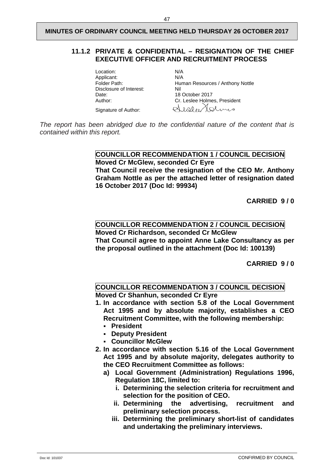#### <span id="page-49-0"></span>**11.1.2 PRIVATE & CONFIDENTIAL – RESIGNATION OF THE CHIEF EXECUTIVE OFFICER AND RECRUITMENT PROCESS**

Location: N/A<br>Applicant: N/A Applicant:<br>Folder Path: Disclosure of Interest:<br>Date: Date: 18 October 2017<br>
Author: Cr. Leslee Holme Signature of Author:

[Human](javascript:NavigateFolder() Resources / Anthony Nottle<br>Nil Cr. Leslee Holmes, President Alaber Holmis

*The report has been abridged due to the confidential nature of the content that is contained within this report.*

> **COUNCILLOR RECOMMENDATION 1 / COUNCIL DECISION Moved Cr McGlew, seconded Cr Eyre That Council receive the resignation of the CEO Mr. Anthony Graham Nottle as per the attached letter of resignation dated 16 October 2017 (Doc Id: 99934)**

> > **CARRIED 9 / 0**

# **COUNCILLOR RECOMMENDATION 2 / COUNCIL DECISION**

**Moved Cr Richardson, seconded Cr McGlew That Council agree to appoint Anne Lake Consultancy as per the proposal outlined in the attachment (Doc Id: 100139)**

**CARRIED 9 / 0**

#### **COUNCILLOR RECOMMENDATION 3 / COUNCIL DECISION Moved Cr Shanhun, seconded Cr Eyre**

- **1. In accordance with section 5.8 of the Local Government Act 1995 and by absolute majority, establishes a CEO Recruitment Committee, with the following membership:**
	- **President**
	- **Deputy President**
	- **Councillor McGlew**
- **2. In accordance with section 5.16 of the Local Government Act 1995 and by absolute majority, delegates authority to the CEO Recruitment Committee as follows:**
	- **a) Local Government (Administration) Regulations 1996, Regulation 18C, limited to:**
		- **i. Determining the selection criteria for recruitment and selection for the position of CEO.**
		- **ii. Determining the advertising, recruitment and preliminary selection process.**
		- **iii. Determining the preliminary short-list of candidates and undertaking the preliminary interviews.**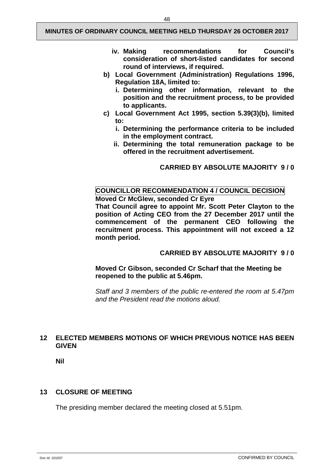- **iv. Making recommendations for Council's consideration of short-listed candidates for second round of interviews, if required.**
- **b) Local Government (Administration) Regulations 1996, Regulation 18A, limited to:**
	- **i. Determining other information, relevant to the position and the recruitment process, to be provided to applicants.**
- **c) Local Government Act 1995, section 5.39(3)(b), limited to:**
	- **i. Determining the performance criteria to be included in the employment contract.**
	- **ii. Determining the total remuneration package to be offered in the recruitment advertisement.**

**CARRIED BY ABSOLUTE MAJORITY 9 / 0**

#### **COUNCILLOR RECOMMENDATION 4 / COUNCIL DECISION Moved Cr McGlew, seconded Cr Eyre**

**That Council agree to appoint Mr. Scott Peter Clayton to the position of Acting CEO from the 27 December 2017 until the commencement of the permanent CEO following the recruitment process. This appointment will not exceed a 12 month period.**

#### **CARRIED BY ABSOLUTE MAJORITY 9 / 0**

**Moved Cr Gibson, seconded Cr Scharf that the Meeting be reopened to the public at 5.46pm.**

*Staff and 3 members of the public re-entered the room at 5.47pm and the President read the motions aloud.*

### <span id="page-50-0"></span>**12 ELECTED MEMBERS MOTIONS OF WHICH PREVIOUS NOTICE HAS BEEN GIVEN**

**Nil**

#### <span id="page-50-1"></span>**13 CLOSURE OF MEETING**

The presiding member declared the meeting closed at 5.51pm.